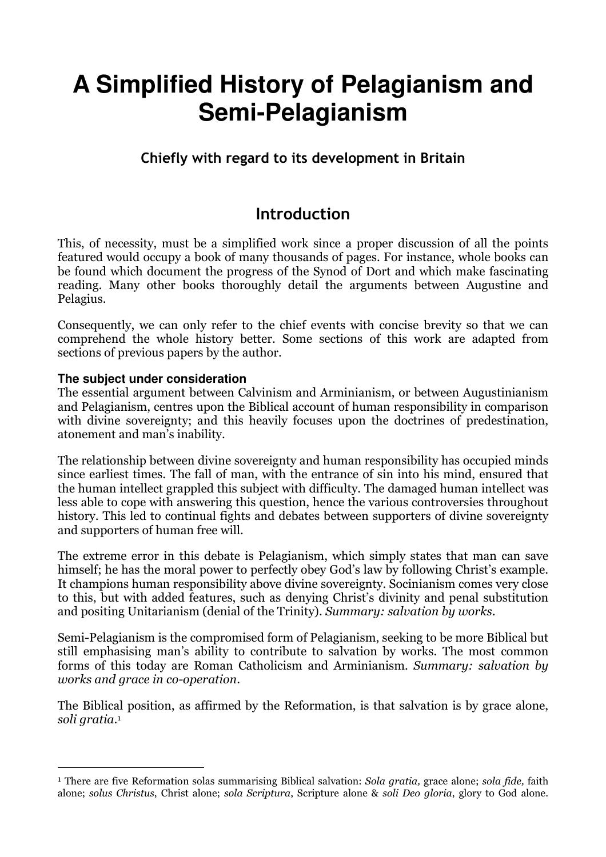# **A Simplified History of Pelagianism and Semi-Pelagianism**

## Chiefly with regard to its development in Britain

# Introduction

This, of necessity, must be a simplified work since a proper discussion of all the points featured would occupy a book of many thousands of pages. For instance, whole books can be found which document the progress of the Synod of Dort and which make fascinating reading. Many other books thoroughly detail the arguments between Augustine and Pelagius.

Consequently, we can only refer to the chief events with concise brevity so that we can comprehend the whole history better. Some sections of this work are adapted from sections of previous papers by the author.

## **The subject under consideration**

 $\overline{a}$ 

The essential argument between Calvinism and Arminianism, or between Augustinianism and Pelagianism, centres upon the Biblical account of human responsibility in comparison with divine sovereignty; and this heavily focuses upon the doctrines of predestination, atonement and man's inability.

The relationship between divine sovereignty and human responsibility has occupied minds since earliest times. The fall of man, with the entrance of sin into his mind, ensured that the human intellect grappled this subject with difficulty. The damaged human intellect was less able to cope with answering this question, hence the various controversies throughout history. This led to continual fights and debates between supporters of divine sovereignty and supporters of human free will.

The extreme error in this debate is Pelagianism, which simply states that man can save himself; he has the moral power to perfectly obey God's law by following Christ's example. It champions human responsibility above divine sovereignty. Socinianism comes very close to this, but with added features, such as denying Christ's divinity and penal substitution and positing Unitarianism (denial of the Trinity). Summary: salvation by works.

Semi-Pelagianism is the compromised form of Pelagianism, seeking to be more Biblical but still emphasising man's ability to contribute to salvation by works. The most common forms of this today are Roman Catholicism and Arminianism. Summary: salvation by works and grace in co-operation.

The Biblical position, as affirmed by the Reformation, is that salvation is by grace alone, soli gratia. 1

<sup>&</sup>lt;sup>1</sup> There are five Reformation solas summarising Biblical salvation: Sola gratia, grace alone; sola fide, faith alone; solus Christus, Christ alone; sola Scriptura, Scripture alone & soli Deo gloria, glory to God alone.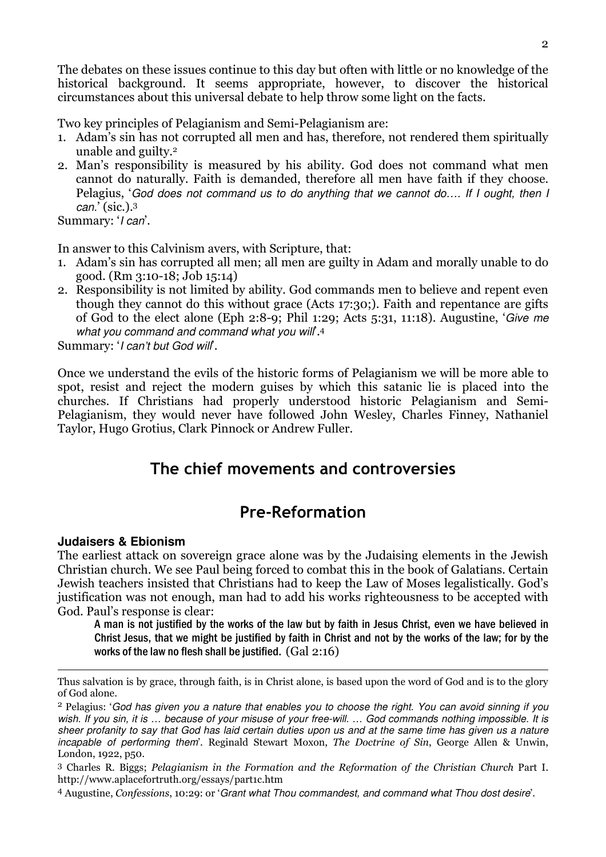The debates on these issues continue to this day but often with little or no knowledge of the historical background. It seems appropriate, however, to discover the historical circumstances about this universal debate to help throw some light on the facts.

Two key principles of Pelagianism and Semi-Pelagianism are:

- 1. Adam's sin has not corrupted all men and has, therefore, not rendered them spiritually unable and guilty.<sup>2</sup>
- 2. Man's responsibility is measured by his ability. God does not command what men cannot do naturally. Faith is demanded, therefore all men have faith if they choose. Pelagius, 'God does not command us to do anything that we cannot do…. If I ought, then I can.' (sic.).<sup>3</sup>

Summary: '*I can*'.

In answer to this Calvinism avers, with Scripture, that:

- 1. Adam's sin has corrupted all men; all men are guilty in Adam and morally unable to do good. (Rm 3:10-18; Job 15:14)
- 2. Responsibility is not limited by ability. God commands men to believe and repent even though they cannot do this without grace (Acts 17:30;). Faith and repentance are gifts of God to the elect alone (Eph 2:8-9; Phil 1:29; Acts 5:31, 11:18). Augustine, 'Give me what you command and command what you will.<sup>4</sup>

Summary: 'I can't but God will'.

Once we understand the evils of the historic forms of Pelagianism we will be more able to spot, resist and reject the modern guises by which this satanic lie is placed into the churches. If Christians had properly understood historic Pelagianism and Semi-Pelagianism, they would never have followed John Wesley, Charles Finney, Nathaniel Taylor, Hugo Grotius, Clark Pinnock or Andrew Fuller.

# The chief movements and controversies

# Pre-Reformation

## **Judaisers & Ebionism**

 $\overline{a}$ 

The earliest attack on sovereign grace alone was by the Judaising elements in the Jewish Christian church. We see Paul being forced to combat this in the book of Galatians. Certain Jewish teachers insisted that Christians had to keep the Law of Moses legalistically. God's justification was not enough, man had to add his works righteousness to be accepted with God. Paul's response is clear:

A man is not justified by the works of the law but by faith in Jesus Christ, even we have believed in Christ Jesus, that we might be justified by faith in Christ and not by the works of the law; for by the works of the law no flesh shall be justified. (Gal 2:16)

Thus salvation is by grace, through faith, is in Christ alone, is based upon the word of God and is to the glory of God alone.

<sup>&</sup>lt;sup>2</sup> Pelagius: 'God has given you a nature that enables you to choose the right. You can avoid sinning if you wish. If you sin, it is … because of your misuse of your free-will. … God commands nothing impossible. It is sheer profanity to say that God has laid certain duties upon us and at the same time has given us a nature incapable of performing them'. Reginald Stewart Moxon, The Doctrine of Sin, George Allen & Unwin, London, 1922, p50.

<sup>3</sup> Charles R. Biggs; Pelagianism in the Formation and the Reformation of the Christian Church Part I. http://www.aplacefortruth.org/essays/part1c.htm

<sup>4</sup> Augustine, Confessions, 10:29: or 'Grant what Thou commandest, and command what Thou dost desire'.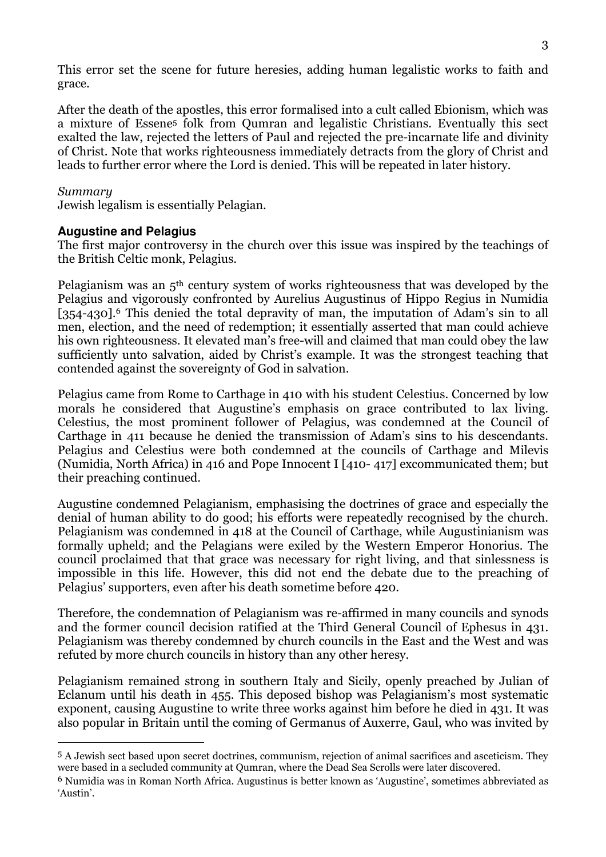This error set the scene for future heresies, adding human legalistic works to faith and grace.

After the death of the apostles, this error formalised into a cult called Ebionism, which was a mixture of Essene5 folk from Qumran and legalistic Christians. Eventually this sect exalted the law, rejected the letters of Paul and rejected the pre-incarnate life and divinity of Christ. Note that works righteousness immediately detracts from the glory of Christ and leads to further error where the Lord is denied. This will be repeated in later history.

#### Summary

 $\overline{a}$ 

Jewish legalism is essentially Pelagian.

#### **Augustine and Pelagius**

The first major controversy in the church over this issue was inspired by the teachings of the British Celtic monk, Pelagius.

Pelagianism was an 5th century system of works righteousness that was developed by the Pelagius and vigorously confronted by Aurelius Augustinus of Hippo Regius in Numidia [354-430].<sup>6</sup> This denied the total depravity of man, the imputation of Adam's sin to all men, election, and the need of redemption; it essentially asserted that man could achieve his own righteousness. It elevated man's free-will and claimed that man could obey the law sufficiently unto salvation, aided by Christ's example. It was the strongest teaching that contended against the sovereignty of God in salvation.

Pelagius came from Rome to Carthage in 410 with his student Celestius. Concerned by low morals he considered that Augustine's emphasis on grace contributed to lax living. Celestius, the most prominent follower of Pelagius, was condemned at the Council of Carthage in 411 because he denied the transmission of Adam's sins to his descendants. Pelagius and Celestius were both condemned at the councils of Carthage and Milevis (Numidia, North Africa) in 416 and Pope Innocent I [410- 417] excommunicated them; but their preaching continued.

Augustine condemned Pelagianism, emphasising the doctrines of grace and especially the denial of human ability to do good; his efforts were repeatedly recognised by the church. Pelagianism was condemned in 418 at the Council of Carthage, while Augustinianism was formally upheld; and the Pelagians were exiled by the Western Emperor Honorius. The council proclaimed that that grace was necessary for right living, and that sinlessness is impossible in this life. However, this did not end the debate due to the preaching of Pelagius' supporters, even after his death sometime before 420.

Therefore, the condemnation of Pelagianism was re-affirmed in many councils and synods and the former council decision ratified at the Third General Council of Ephesus in 431. Pelagianism was thereby condemned by church councils in the East and the West and was refuted by more church councils in history than any other heresy.

Pelagianism remained strong in southern Italy and Sicily, openly preached by Julian of Eclanum until his death in 455. This deposed bishop was Pelagianism's most systematic exponent, causing Augustine to write three works against him before he died in 431. It was also popular in Britain until the coming of Germanus of Auxerre, Gaul, who was invited by

<sup>5</sup> A Jewish sect based upon secret doctrines, communism, rejection of animal sacrifices and asceticism. They were based in a secluded community at Qumran, where the Dead Sea Scrolls were later discovered.

<sup>6</sup> Numidia was in Roman North Africa. Augustinus is better known as 'Augustine', sometimes abbreviated as 'Austin'.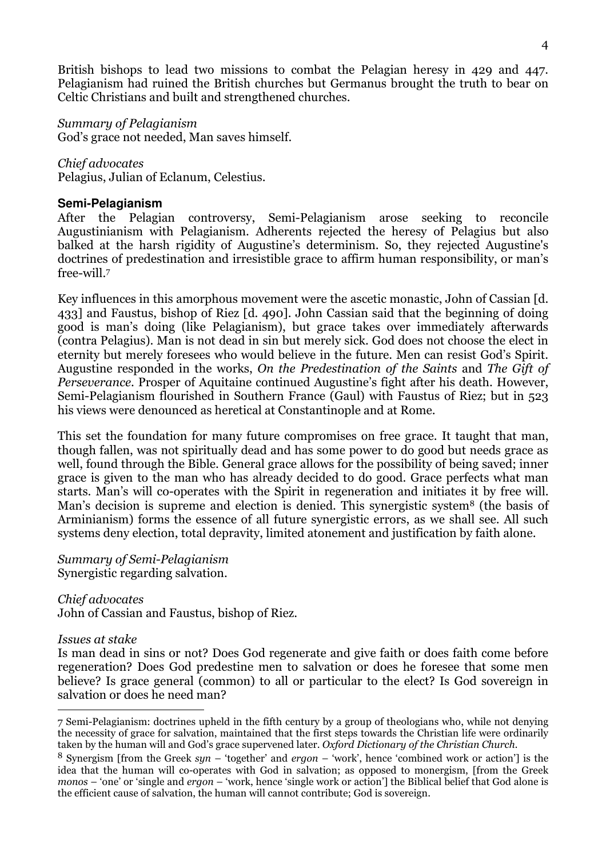British bishops to lead two missions to combat the Pelagian heresy in 429 and 447. Pelagianism had ruined the British churches but Germanus brought the truth to bear on Celtic Christians and built and strengthened churches.

#### Summary of Pelagianism

God's grace not needed, Man saves himself.

#### Chief advocates

Pelagius, Julian of Eclanum, Celestius.

#### **Semi-Pelagianism**

After the Pelagian controversy, Semi-Pelagianism arose seeking to reconcile Augustinianism with Pelagianism. Adherents rejected the heresy of Pelagius but also balked at the harsh rigidity of Augustine's determinism. So, they rejected Augustine's doctrines of predestination and irresistible grace to affirm human responsibility, or man's free-will.<sup>7</sup>

Key influences in this amorphous movement were the ascetic monastic, John of Cassian [d. 433] and Faustus, bishop of Riez [d. 490]. John Cassian said that the beginning of doing good is man's doing (like Pelagianism), but grace takes over immediately afterwards (contra Pelagius). Man is not dead in sin but merely sick. God does not choose the elect in eternity but merely foresees who would believe in the future. Men can resist God's Spirit. Augustine responded in the works, On the Predestination of the Saints and The Gift of Perseverance. Prosper of Aquitaine continued Augustine's fight after his death. However, Semi-Pelagianism flourished in Southern France (Gaul) with Faustus of Riez; but in 523 his views were denounced as heretical at Constantinople and at Rome.

This set the foundation for many future compromises on free grace. It taught that man, though fallen, was not spiritually dead and has some power to do good but needs grace as well, found through the Bible. General grace allows for the possibility of being saved; inner grace is given to the man who has already decided to do good. Grace perfects what man starts. Man's will co-operates with the Spirit in regeneration and initiates it by free will. Man's decision is supreme and election is denied. This synergistic system<sup>8</sup> (the basis of Arminianism) forms the essence of all future synergistic errors, as we shall see. All such systems deny election, total depravity, limited atonement and justification by faith alone.

#### Summary of Semi-Pelagianism Synergistic regarding salvation.

Chief advocates John of Cassian and Faustus, bishop of Riez.

#### Issues at stake

 $\overline{a}$ 

Is man dead in sins or not? Does God regenerate and give faith or does faith come before regeneration? Does God predestine men to salvation or does he foresee that some men believe? Is grace general (common) to all or particular to the elect? Is God sovereign in salvation or does he need man?

<sup>7</sup> Semi-Pelagianism: doctrines upheld in the fifth century by a group of theologians who, while not denying the necessity of grace for salvation, maintained that the first steps towards the Christian life were ordinarily taken by the human will and God's grace supervened later. Oxford Dictionary of the Christian Church.

<sup>&</sup>lt;sup>8</sup> Synergism [from the Greek syn – 'together' and ergon – 'work', hence 'combined work or action'] is the idea that the human will co-operates with God in salvation; as opposed to monergism, [from the Greek monos – 'one' or 'single and ergon – 'work, hence 'single work or action'] the Biblical belief that God alone is the efficient cause of salvation, the human will cannot contribute; God is sovereign.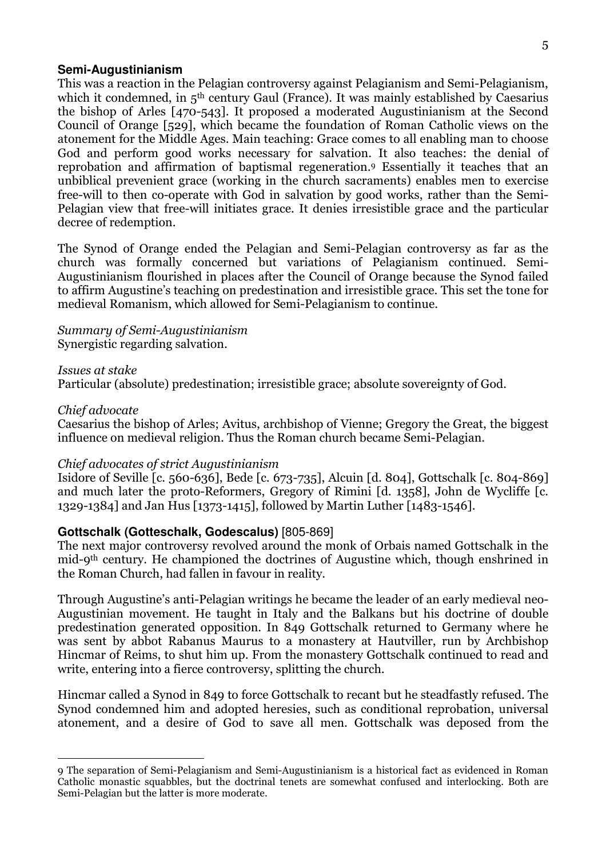#### **Semi-Augustinianism**

This was a reaction in the Pelagian controversy against Pelagianism and Semi-Pelagianism, which it condemned, in 5<sup>th</sup> century Gaul (France). It was mainly established by Caesarius the bishop of Arles [470-543]. It proposed a moderated Augustinianism at the Second Council of Orange [529], which became the foundation of Roman Catholic views on the atonement for the Middle Ages. Main teaching: Grace comes to all enabling man to choose God and perform good works necessary for salvation. It also teaches: the denial of reprobation and affirmation of baptismal regeneration.9 Essentially it teaches that an unbiblical prevenient grace (working in the church sacraments) enables men to exercise free-will to then co-operate with God in salvation by good works, rather than the Semi-Pelagian view that free-will initiates grace. It denies irresistible grace and the particular decree of redemption.

The Synod of Orange ended the Pelagian and Semi-Pelagian controversy as far as the church was formally concerned but variations of Pelagianism continued. Semi-Augustinianism flourished in places after the Council of Orange because the Synod failed to affirm Augustine's teaching on predestination and irresistible grace. This set the tone for medieval Romanism, which allowed for Semi-Pelagianism to continue.

#### Summary of Semi-Augustinianism Synergistic regarding salvation.

#### Issues at stake

Particular (absolute) predestination; irresistible grace; absolute sovereignty of God.

#### Chief advocate

 $\overline{a}$ 

Caesarius the bishop of Arles; Avitus, archbishop of Vienne; Gregory the Great, the biggest influence on medieval religion. Thus the Roman church became Semi-Pelagian.

#### Chief advocates of strict Augustinianism

Isidore of Seville [c. 560-636], Bede [c. 673-735], Alcuin [d. 804], Gottschalk [c. 804-869] and much later the proto-Reformers, Gregory of Rimini [d. 1358], John de Wycliffe [c. 1329-1384] and Jan Hus [1373-1415], followed by Martin Luther [1483-1546].

#### **Gottschalk (Gotteschalk, Godescalus)** [805-869]

The next major controversy revolved around the monk of Orbais named Gottschalk in the mid-9th century. He championed the doctrines of Augustine which, though enshrined in the Roman Church, had fallen in favour in reality.

Through Augustine's anti-Pelagian writings he became the leader of an early medieval neo-Augustinian movement. He taught in Italy and the Balkans but his doctrine of double predestination generated opposition. In 849 Gottschalk returned to Germany where he was sent by abbot Rabanus Maurus to a monastery at Hautviller, run by Archbishop Hincmar of Reims, to shut him up. From the monastery Gottschalk continued to read and write, entering into a fierce controversy, splitting the church.

Hincmar called a Synod in 849 to force Gottschalk to recant but he steadfastly refused. The Synod condemned him and adopted heresies, such as conditional reprobation, universal atonement, and a desire of God to save all men. Gottschalk was deposed from the

<sup>9</sup> The separation of Semi-Pelagianism and Semi-Augustinianism is a historical fact as evidenced in Roman Catholic monastic squabbles, but the doctrinal tenets are somewhat confused and interlocking. Both are Semi-Pelagian but the latter is more moderate.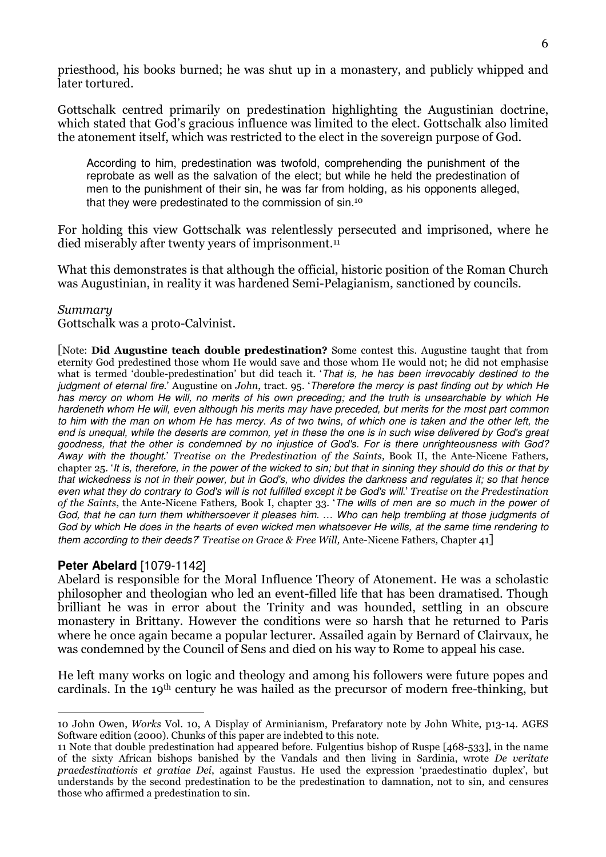priesthood, his books burned; he was shut up in a monastery, and publicly whipped and later tortured.

Gottschalk centred primarily on predestination highlighting the Augustinian doctrine, which stated that God's gracious influence was limited to the elect. Gottschalk also limited the atonement itself, which was restricted to the elect in the sovereign purpose of God.

According to him, predestination was twofold, comprehending the punishment of the reprobate as well as the salvation of the elect; but while he held the predestination of men to the punishment of their sin, he was far from holding, as his opponents alleged, that they were predestinated to the commission of sin.<sup>10</sup>

For holding this view Gottschalk was relentlessly persecuted and imprisoned, where he died miserably after twenty years of imprisonment.<sup>11</sup>

What this demonstrates is that although the official, historic position of the Roman Church was Augustinian, in reality it was hardened Semi-Pelagianism, sanctioned by councils.

#### Summary

Gottschalk was a proto-Calvinist.

[Note: Did Augustine teach double predestination? Some contest this. Augustine taught that from eternity God predestined those whom He would save and those whom He would not; he did not emphasise what is termed 'double-predestination' but did teach it. 'That is, he has been irrevocably destined to the judgment of eternal fire.' Augustine on John, tract. 95. 'Therefore the mercy is past finding out by which He has mercy on whom He will, no merits of his own preceding; and the truth is unsearchable by which He hardeneth whom He will, even although his merits may have preceded, but merits for the most part common to him with the man on whom He has mercy. As of two twins, of which one is taken and the other left, the end is unequal, while the deserts are common, yet in these the one is in such wise delivered by God's great goodness, that the other is condemned by no injustice of God's. For is there unrighteousness with God? Away with the thought.' Treatise on the Predestination of the Saints, Book II, the Ante-Nicene Fathers, chapter 25. 'It is, therefore, in the power of the wicked to sin; but that in sinning they should do this or that by that wickedness is not in their power, but in God's, who divides the darkness and regulates it; so that hence even what they do contrary to God's will is not fulfilled except it be God's will.' Treatise on the Predestination of the Saints, the Ante-Nicene Fathers, Book I, chapter 33. 'The wills of men are so much in the power of God, that he can turn them whithersoever it pleases him. … Who can help trembling at those judgments of God by which He does in the hearts of even wicked men whatsoever He wills, at the same time rendering to them according to their deeds? Treatise on Grace & Free Will, Ante-Nicene Fathers, Chapter 41]

#### **Peter Abelard** [1079-1142]

Abelard is responsible for the Moral Influence Theory of Atonement. He was a scholastic philosopher and theologian who led an event-filled life that has been dramatised. Though brilliant he was in error about the Trinity and was hounded, settling in an obscure monastery in Brittany. However the conditions were so harsh that he returned to Paris where he once again became a popular lecturer. Assailed again by Bernard of Clairvaux, he was condemned by the Council of Sens and died on his way to Rome to appeal his case.

He left many works on logic and theology and among his followers were future popes and cardinals. In the 19th century he was hailed as the precursor of modern free-thinking, but

 $\overline{a}$ 10 John Owen, Works Vol. 10, A Display of Arminianism, Prefaratory note by John White, p13-14. AGES Software edition (2000). Chunks of this paper are indebted to this note.

<sup>11</sup> Note that double predestination had appeared before. Fulgentius bishop of Ruspe [468-533], in the name of the sixty African bishops banished by the Vandals and then living in Sardinia, wrote De veritate praedestinationis et gratiae Dei, against Faustus. He used the expression 'praedestinatio duplex', but understands by the second predestination to be the predestination to damnation, not to sin, and censures those who affirmed a predestination to sin.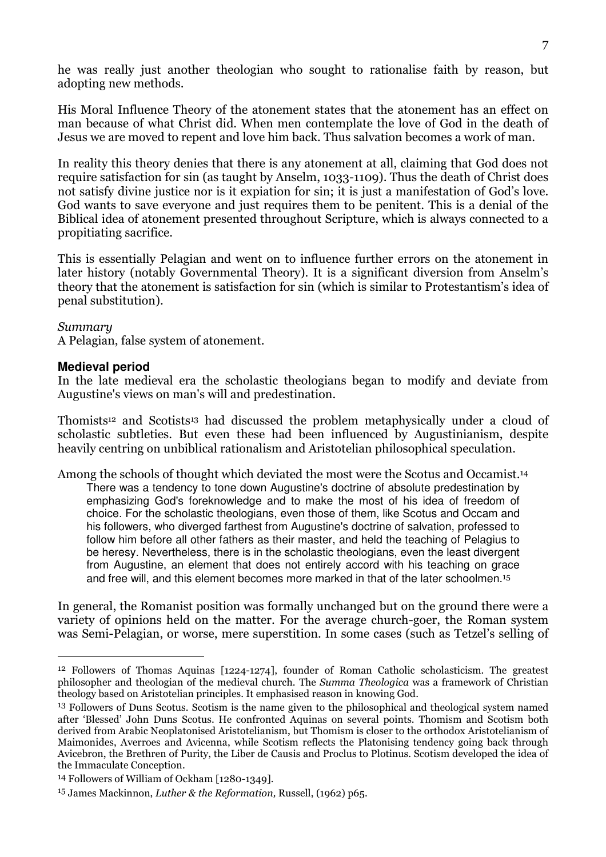he was really just another theologian who sought to rationalise faith by reason, but adopting new methods.

His Moral Influence Theory of the atonement states that the atonement has an effect on man because of what Christ did. When men contemplate the love of God in the death of Jesus we are moved to repent and love him back. Thus salvation becomes a work of man.

In reality this theory denies that there is any atonement at all, claiming that God does not require satisfaction for sin (as taught by Anselm, 1033-1109). Thus the death of Christ does not satisfy divine justice nor is it expiation for sin; it is just a manifestation of God's love. God wants to save everyone and just requires them to be penitent. This is a denial of the Biblical idea of atonement presented throughout Scripture, which is always connected to a propitiating sacrifice.

This is essentially Pelagian and went on to influence further errors on the atonement in later history (notably Governmental Theory). It is a significant diversion from Anselm's theory that the atonement is satisfaction for sin (which is similar to Protestantism's idea of penal substitution).

#### Summary

 $\overline{a}$ 

A Pelagian, false system of atonement.

#### **Medieval period**

In the late medieval era the scholastic theologians began to modify and deviate from Augustine's views on man's will and predestination.

Thomists12 and Scotists13 had discussed the problem metaphysically under a cloud of scholastic subtleties. But even these had been influenced by Augustinianism, despite heavily centring on unbiblical rationalism and Aristotelian philosophical speculation.

Among the schools of thought which deviated the most were the Scotus and Occamist.<sup>14</sup>

There was a tendency to tone down Augustine's doctrine of absolute predestination by emphasizing God's foreknowledge and to make the most of his idea of freedom of choice. For the scholastic theologians, even those of them, like Scotus and Occam and his followers, who diverged farthest from Augustine's doctrine of salvation, professed to follow him before all other fathers as their master, and held the teaching of Pelagius to be heresy. Nevertheless, there is in the scholastic theologians, even the least divergent from Augustine, an element that does not entirely accord with his teaching on grace and free will, and this element becomes more marked in that of the later schoolmen.<sup>15</sup>

In general, the Romanist position was formally unchanged but on the ground there were a variety of opinions held on the matter. For the average church-goer, the Roman system was Semi-Pelagian, or worse, mere superstition. In some cases (such as Tetzel's selling of

<sup>12</sup> Followers of Thomas Aquinas [1224-1274], founder of Roman Catholic scholasticism. The greatest philosopher and theologian of the medieval church. The Summa Theologica was a framework of Christian theology based on Aristotelian principles. It emphasised reason in knowing God.

<sup>13</sup> Followers of Duns Scotus. Scotism is the name given to the philosophical and theological system named after 'Blessed' John Duns Scotus. He confronted Aquinas on several points. Thomism and Scotism both derived from Arabic Neoplatonised Aristotelianism, but Thomism is closer to the orthodox Aristotelianism of Maimonides, Averroes and Avicenna, while Scotism reflects the Platonising tendency going back through Avicebron, the Brethren of Purity, the Liber de Causis and Proclus to Plotinus. Scotism developed the idea of the Immaculate Conception.

<sup>14</sup> Followers of William of Ockham [1280-1349].

<sup>15</sup> James Mackinnon, Luther & the Reformation, Russell, (1962) p65.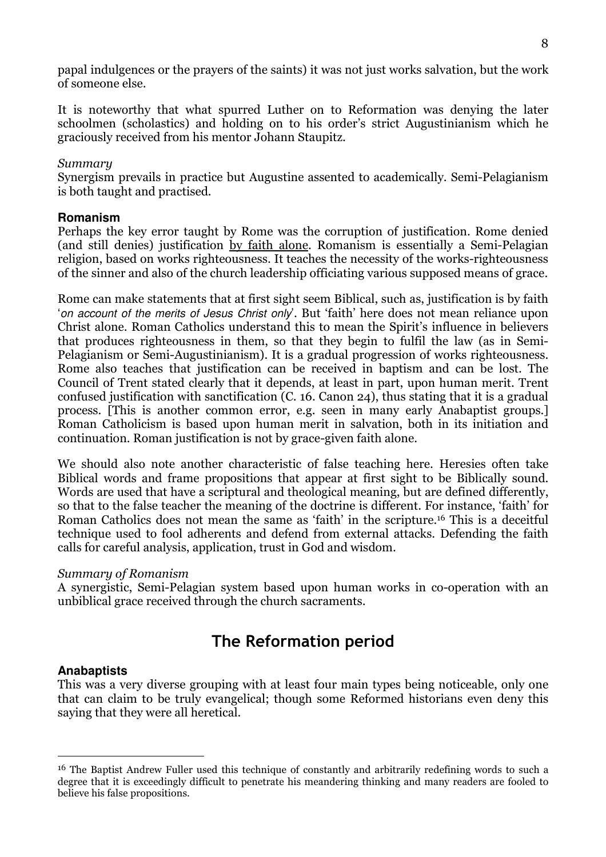papal indulgences or the prayers of the saints) it was not just works salvation, but the work of someone else.

It is noteworthy that what spurred Luther on to Reformation was denying the later schoolmen (scholastics) and holding on to his order's strict Augustinianism which he graciously received from his mentor Johann Staupitz.

## Summary

Synergism prevails in practice but Augustine assented to academically. Semi-Pelagianism is both taught and practised.

#### **Romanism**

Perhaps the key error taught by Rome was the corruption of justification. Rome denied (and still denies) justification by faith alone. Romanism is essentially a Semi-Pelagian religion, based on works righteousness. It teaches the necessity of the works-righteousness of the sinner and also of the church leadership officiating various supposed means of grace.

Rome can make statements that at first sight seem Biblical, such as, justification is by faith 'on account of the merits of Jesus Christ only'. But 'faith' here does not mean reliance upon Christ alone. Roman Catholics understand this to mean the Spirit's influence in believers that produces righteousness in them, so that they begin to fulfil the law (as in Semi-Pelagianism or Semi-Augustinianism). It is a gradual progression of works righteousness. Rome also teaches that justification can be received in baptism and can be lost. The Council of Trent stated clearly that it depends, at least in part, upon human merit. Trent confused justification with sanctification (C. 16. Canon 24), thus stating that it is a gradual process. [This is another common error, e.g. seen in many early Anabaptist groups.] Roman Catholicism is based upon human merit in salvation, both in its initiation and continuation. Roman justification is not by grace-given faith alone.

We should also note another characteristic of false teaching here. Heresies often take Biblical words and frame propositions that appear at first sight to be Biblically sound. Words are used that have a scriptural and theological meaning, but are defined differently, so that to the false teacher the meaning of the doctrine is different. For instance, 'faith' for Roman Catholics does not mean the same as 'faith' in the scripture.16 This is a deceitful technique used to fool adherents and defend from external attacks. Defending the faith calls for careful analysis, application, trust in God and wisdom.

#### Summary of Romanism

A synergistic, Semi-Pelagian system based upon human works in co-operation with an unbiblical grace received through the church sacraments.

# The Reformation period

## **Anabaptists**

 $\overline{a}$ 

This was a very diverse grouping with at least four main types being noticeable, only one that can claim to be truly evangelical; though some Reformed historians even deny this saying that they were all heretical.

<sup>16</sup> The Baptist Andrew Fuller used this technique of constantly and arbitrarily redefining words to such a degree that it is exceedingly difficult to penetrate his meandering thinking and many readers are fooled to believe his false propositions.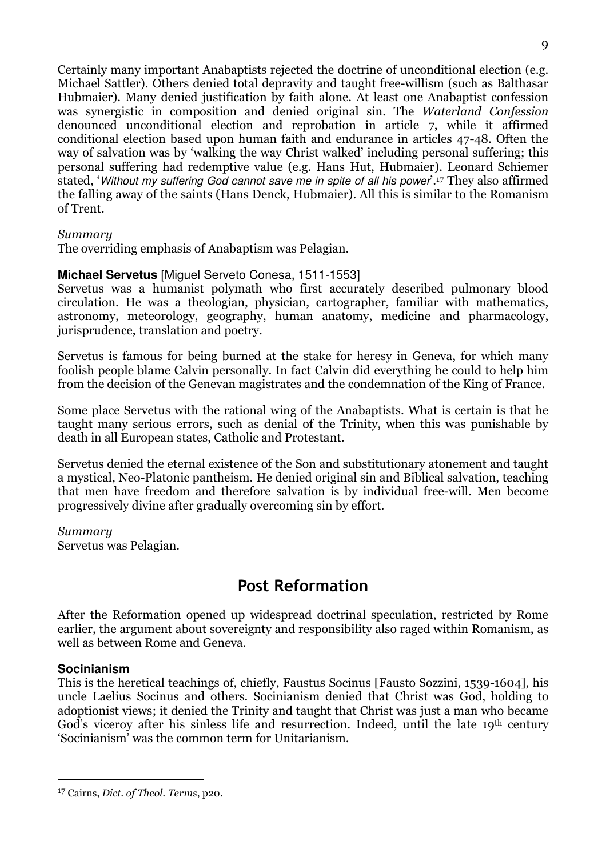Certainly many important Anabaptists rejected the doctrine of unconditional election (e.g. Michael Sattler). Others denied total depravity and taught free-willism (such as Balthasar Hubmaier). Many denied justification by faith alone. At least one Anabaptist confession was synergistic in composition and denied original sin. The Waterland Confession denounced unconditional election and reprobation in article 7, while it affirmed conditional election based upon human faith and endurance in articles 47-48. Often the way of salvation was by 'walking the way Christ walked' including personal suffering; this personal suffering had redemptive value (e.g. Hans Hut, Hubmaier). Leonard Schiemer stated, 'Without my suffering God cannot save me in spite of all his power'.<sup>17</sup> They also affirmed the falling away of the saints (Hans Denck, Hubmaier). All this is similar to the Romanism of Trent.

#### Summary

The overriding emphasis of Anabaptism was Pelagian.

#### **Michael Servetus** [Miguel Serveto Conesa, 1511-1553]

Servetus was a humanist polymath who first accurately described pulmonary blood circulation. He was a theologian, physician, cartographer, familiar with mathematics, astronomy, meteorology, geography, human anatomy, medicine and pharmacology, jurisprudence, translation and poetry.

Servetus is famous for being burned at the stake for heresy in Geneva, for which many foolish people blame Calvin personally. In fact Calvin did everything he could to help him from the decision of the Genevan magistrates and the condemnation of the King of France.

Some place Servetus with the rational wing of the Anabaptists. What is certain is that he taught many serious errors, such as denial of the Trinity, when this was punishable by death in all European states, Catholic and Protestant.

Servetus denied the eternal existence of the Son and substitutionary atonement and taught a mystical, Neo-Platonic pantheism. He denied original sin and Biblical salvation, teaching that men have freedom and therefore salvation is by individual free-will. Men become progressively divine after gradually overcoming sin by effort.

Summary Servetus was Pelagian.

## Post Reformation

After the Reformation opened up widespread doctrinal speculation, restricted by Rome earlier, the argument about sovereignty and responsibility also raged within Romanism, as well as between Rome and Geneva.

## **Socinianism**

 $\overline{a}$ 

This is the heretical teachings of, chiefly, Faustus Socinus [Fausto Sozzini, 1539-1604], his uncle Laelius Socinus and others. Socinianism denied that Christ was God, holding to adoptionist views; it denied the Trinity and taught that Christ was just a man who became God's viceroy after his sinless life and resurrection. Indeed, until the late 19<sup>th</sup> century 'Socinianism' was the common term for Unitarianism.

<sup>17</sup> Cairns, Dict. of Theol. Terms, p20.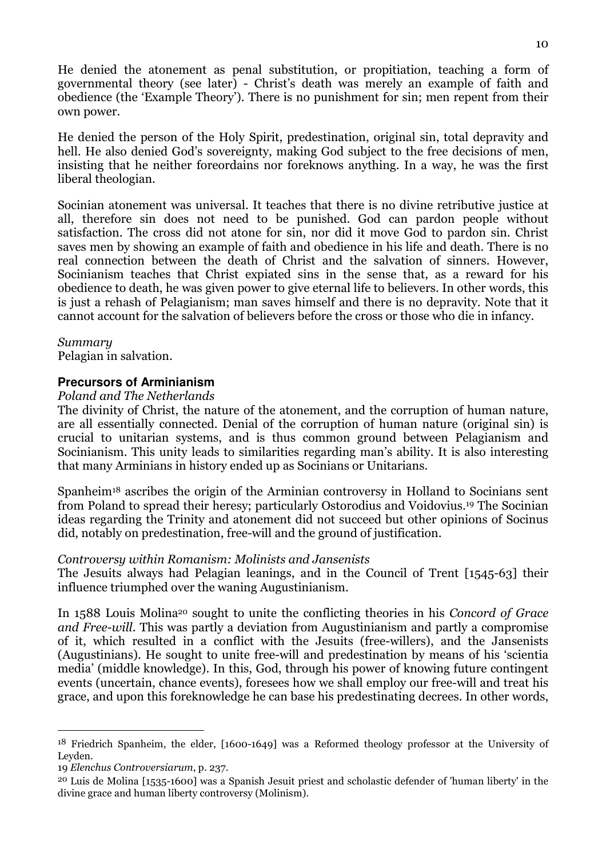He denied the atonement as penal substitution, or propitiation, teaching a form of governmental theory (see later) - Christ's death was merely an example of faith and obedience (the 'Example Theory'). There is no punishment for sin; men repent from their own power.

He denied the person of the Holy Spirit, predestination, original sin, total depravity and hell. He also denied God's sovereignty, making God subject to the free decisions of men, insisting that he neither foreordains nor foreknows anything. In a way, he was the first liberal theologian.

Socinian atonement was universal. It teaches that there is no divine retributive justice at all, therefore sin does not need to be punished. God can pardon people without satisfaction. The cross did not atone for sin, nor did it move God to pardon sin. Christ saves men by showing an example of faith and obedience in his life and death. There is no real connection between the death of Christ and the salvation of sinners. However, Socinianism teaches that Christ expiated sins in the sense that, as a reward for his obedience to death, he was given power to give eternal life to believers. In other words, this is just a rehash of Pelagianism; man saves himself and there is no depravity. Note that it cannot account for the salvation of believers before the cross or those who die in infancy.

#### Summary

Pelagian in salvation.

#### **Precursors of Arminianism**

#### Poland and The Netherlands

The divinity of Christ, the nature of the atonement, and the corruption of human nature, are all essentially connected. Denial of the corruption of human nature (original sin) is crucial to unitarian systems, and is thus common ground between Pelagianism and Socinianism. This unity leads to similarities regarding man's ability. It is also interesting that many Arminians in history ended up as Socinians or Unitarians.

Spanheim18 ascribes the origin of the Arminian controversy in Holland to Socinians sent from Poland to spread their heresy; particularly Ostorodius and Voidovius.19 The Socinian ideas regarding the Trinity and atonement did not succeed but other opinions of Socinus did, notably on predestination, free-will and the ground of justification.

#### Controversy within Romanism: Molinists and Jansenists

The Jesuits always had Pelagian leanings, and in the Council of Trent [1545-63] their influence triumphed over the waning Augustinianism.

In 1588 Louis Molina20 sought to unite the conflicting theories in his Concord of Grace and Free-will. This was partly a deviation from Augustinianism and partly a compromise of it, which resulted in a conflict with the Jesuits (free-willers), and the Jansenists (Augustinians). He sought to unite free-will and predestination by means of his 'scientia media' (middle knowledge). In this, God, through his power of knowing future contingent events (uncertain, chance events), foresees how we shall employ our free-will and treat his grace, and upon this foreknowledge he can base his predestinating decrees. In other words,

 $\overline{a}$ 

<sup>18</sup> Friedrich Spanheim, the elder, [1600-1649] was a Reformed theology professor at the University of Leyden.

<sup>19</sup> Elenchus Controversiarum, p. 237.

<sup>20</sup> Luis de Molina [1535-1600] was a Spanish Jesuit priest and scholastic defender of 'human liberty' in the divine grace and human liberty controversy (Molinism).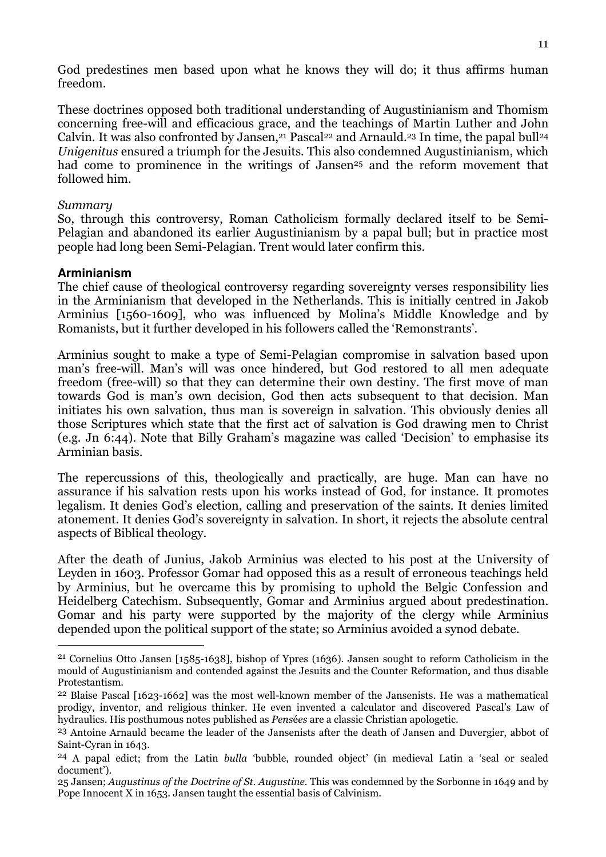God predestines men based upon what he knows they will do; it thus affirms human freedom.

These doctrines opposed both traditional understanding of Augustinianism and Thomism concerning free-will and efficacious grace, and the teachings of Martin Luther and John Calvin. It was also confronted by Jansen,<sup>21</sup> Pascal<sup>22</sup> and Arnauld.<sup>23</sup> In time, the papal bull<sup>24</sup> Unigenitus ensured a triumph for the Jesuits. This also condemned Augustinianism, which had come to prominence in the writings of Jansen<sup>25</sup> and the reform movement that followed him.

#### Summary

So, through this controversy, Roman Catholicism formally declared itself to be Semi-Pelagian and abandoned its earlier Augustinianism by a papal bull; but in practice most people had long been Semi-Pelagian. Trent would later confirm this.

#### **Arminianism**

 $\overline{a}$ 

The chief cause of theological controversy regarding sovereignty verses responsibility lies in the Arminianism that developed in the Netherlands. This is initially centred in Jakob Arminius [1560-1609], who was influenced by Molina's Middle Knowledge and by Romanists, but it further developed in his followers called the 'Remonstrants'.

Arminius sought to make a type of Semi-Pelagian compromise in salvation based upon man's free-will. Man's will was once hindered, but God restored to all men adequate freedom (free-will) so that they can determine their own destiny. The first move of man towards God is man's own decision, God then acts subsequent to that decision. Man initiates his own salvation, thus man is sovereign in salvation. This obviously denies all those Scriptures which state that the first act of salvation is God drawing men to Christ (e.g. Jn 6:44). Note that Billy Graham's magazine was called 'Decision' to emphasise its Arminian basis.

The repercussions of this, theologically and practically, are huge. Man can have no assurance if his salvation rests upon his works instead of God, for instance. It promotes legalism. It denies God's election, calling and preservation of the saints. It denies limited atonement. It denies God's sovereignty in salvation. In short, it rejects the absolute central aspects of Biblical theology.

After the death of Junius, Jakob Arminius was elected to his post at the University of Leyden in 1603. Professor Gomar had opposed this as a result of erroneous teachings held by Arminius, but he overcame this by promising to uphold the Belgic Confession and Heidelberg Catechism. Subsequently, Gomar and Arminius argued about predestination. Gomar and his party were supported by the majority of the clergy while Arminius depended upon the political support of the state; so Arminius avoided a synod debate.

<sup>21</sup> Cornelius Otto Jansen [1585-1638], bishop of Ypres (1636). Jansen sought to reform Catholicism in the mould of Augustinianism and contended against the Jesuits and the Counter Reformation, and thus disable Protestantism.

<sup>22</sup> Blaise Pascal [1623-1662] was the most well-known member of the Jansenists. He was a mathematical prodigy, inventor, and religious thinker. He even invented a calculator and discovered Pascal's Law of hydraulics. His posthumous notes published as Pensées are a classic Christian apologetic.

<sup>23</sup> Antoine Arnauld became the leader of the Jansenists after the death of Jansen and Duvergier, abbot of Saint-Cyran in 1643.

<sup>24</sup> A papal edict; from the Latin bulla 'bubble, rounded object' (in medieval Latin a 'seal or sealed document').

<sup>25</sup> Jansen; Augustinus of the Doctrine of St. Augustine. This was condemned by the Sorbonne in 1649 and by Pope Innocent X in 1653. Jansen taught the essential basis of Calvinism.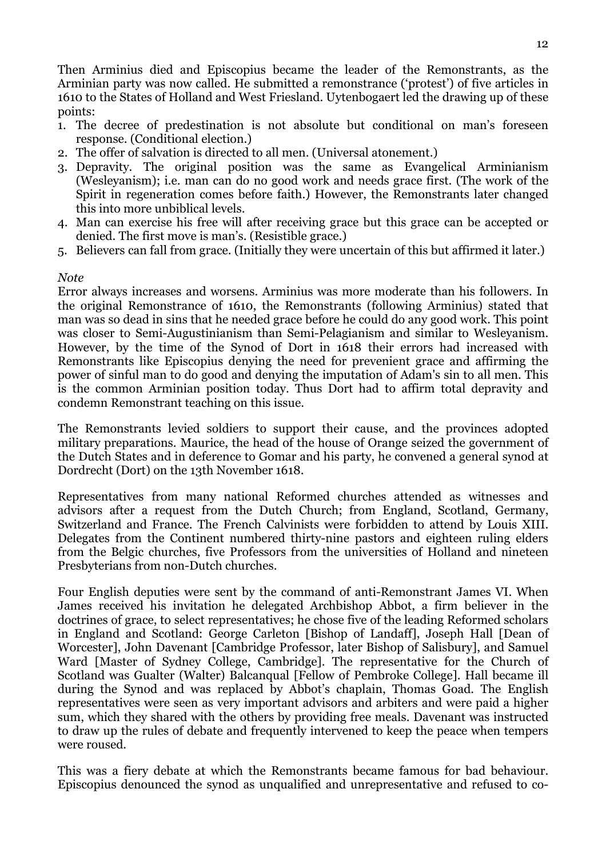Then Arminius died and Episcopius became the leader of the Remonstrants, as the Arminian party was now called. He submitted a remonstrance ('protest') of five articles in 1610 to the States of Holland and West Friesland. Uytenbogaert led the drawing up of these points:

- 1. The decree of predestination is not absolute but conditional on man's foreseen response. (Conditional election.)
- 2. The offer of salvation is directed to all men. (Universal atonement.)
- 3. Depravity. The original position was the same as Evangelical Arminianism (Wesleyanism); i.e. man can do no good work and needs grace first. (The work of the Spirit in regeneration comes before faith.) However, the Remonstrants later changed this into more unbiblical levels.
- 4. Man can exercise his free will after receiving grace but this grace can be accepted or denied. The first move is man's. (Resistible grace.)
- 5. Believers can fall from grace. (Initially they were uncertain of this but affirmed it later.)

#### Note

Error always increases and worsens. Arminius was more moderate than his followers. In the original Remonstrance of 1610, the Remonstrants (following Arminius) stated that man was so dead in sins that he needed grace before he could do any good work. This point was closer to Semi-Augustinianism than Semi-Pelagianism and similar to Wesleyanism. However, by the time of the Synod of Dort in 1618 their errors had increased with Remonstrants like Episcopius denying the need for prevenient grace and affirming the power of sinful man to do good and denying the imputation of Adam's sin to all men. This is the common Arminian position today. Thus Dort had to affirm total depravity and condemn Remonstrant teaching on this issue.

The Remonstrants levied soldiers to support their cause, and the provinces adopted military preparations. Maurice, the head of the house of Orange seized the government of the Dutch States and in deference to Gomar and his party, he convened a general synod at Dordrecht (Dort) on the 13th November 1618.

Representatives from many national Reformed churches attended as witnesses and advisors after a request from the Dutch Church; from England, Scotland, Germany, Switzerland and France. The French Calvinists were forbidden to attend by Louis XIII. Delegates from the Continent numbered thirty-nine pastors and eighteen ruling elders from the Belgic churches, five Professors from the universities of Holland and nineteen Presbyterians from non-Dutch churches.

Four English deputies were sent by the command of anti-Remonstrant James VI. When James received his invitation he delegated Archbishop Abbot, a firm believer in the doctrines of grace, to select representatives; he chose five of the leading Reformed scholars in England and Scotland: George Carleton [Bishop of Landaff], Joseph Hall [Dean of Worcester], John Davenant [Cambridge Professor, later Bishop of Salisbury], and Samuel Ward [Master of Sydney College, Cambridge]. The representative for the Church of Scotland was Gualter (Walter) Balcanqual [Fellow of Pembroke College]. Hall became ill during the Synod and was replaced by Abbot's chaplain, Thomas Goad. The English representatives were seen as very important advisors and arbiters and were paid a higher sum, which they shared with the others by providing free meals. Davenant was instructed to draw up the rules of debate and frequently intervened to keep the peace when tempers were roused.

This was a fiery debate at which the Remonstrants became famous for bad behaviour. Episcopius denounced the synod as unqualified and unrepresentative and refused to co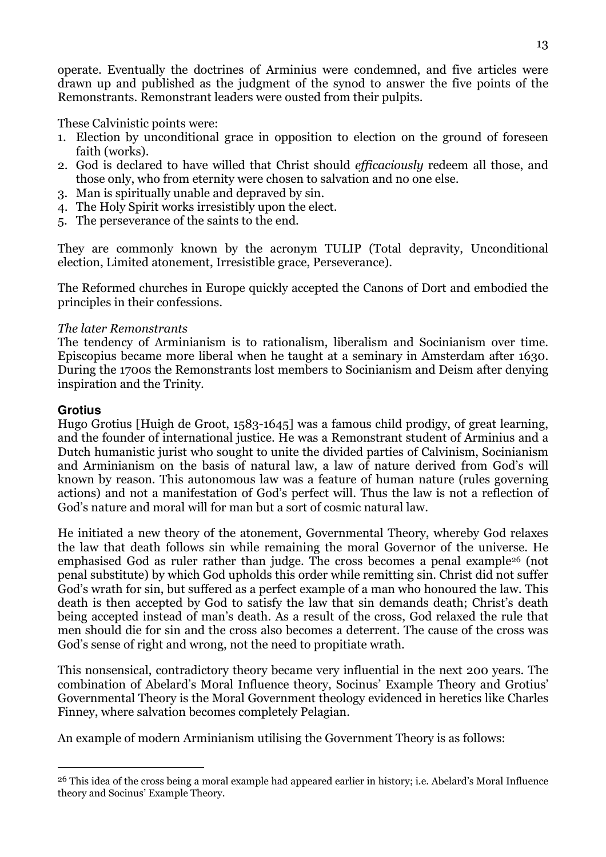operate. Eventually the doctrines of Arminius were condemned, and five articles were drawn up and published as the judgment of the synod to answer the five points of the Remonstrants. Remonstrant leaders were ousted from their pulpits.

These Calvinistic points were:

- 1. Election by unconditional grace in opposition to election on the ground of foreseen faith (works).
- 2. God is declared to have willed that Christ should efficaciously redeem all those, and those only, who from eternity were chosen to salvation and no one else.
- 3. Man is spiritually unable and depraved by sin.
- 4. The Holy Spirit works irresistibly upon the elect.
- 5. The perseverance of the saints to the end.

They are commonly known by the acronym TULIP (Total depravity, Unconditional election, Limited atonement, Irresistible grace, Perseverance).

The Reformed churches in Europe quickly accepted the Canons of Dort and embodied the principles in their confessions.

## The later Remonstrants

The tendency of Arminianism is to rationalism, liberalism and Socinianism over time. Episcopius became more liberal when he taught at a seminary in Amsterdam after 1630. During the 1700s the Remonstrants lost members to Socinianism and Deism after denying inspiration and the Trinity.

## **Grotius**

 $\overline{a}$ 

Hugo Grotius [Huigh de Groot, 1583-1645] was a famous child prodigy, of great learning, and the founder of international justice. He was a Remonstrant student of Arminius and a Dutch humanistic jurist who sought to unite the divided parties of Calvinism, Socinianism and Arminianism on the basis of natural law, a law of nature derived from God's will known by reason. This autonomous law was a feature of human nature (rules governing actions) and not a manifestation of God's perfect will. Thus the law is not a reflection of God's nature and moral will for man but a sort of cosmic natural law.

He initiated a new theory of the atonement, Governmental Theory, whereby God relaxes the law that death follows sin while remaining the moral Governor of the universe. He emphasised God as ruler rather than judge. The cross becomes a penal example26 (not penal substitute) by which God upholds this order while remitting sin. Christ did not suffer God's wrath for sin, but suffered as a perfect example of a man who honoured the law. This death is then accepted by God to satisfy the law that sin demands death; Christ's death being accepted instead of man's death. As a result of the cross, God relaxed the rule that men should die for sin and the cross also becomes a deterrent. The cause of the cross was God's sense of right and wrong, not the need to propitiate wrath.

This nonsensical, contradictory theory became very influential in the next 200 years. The combination of Abelard's Moral Influence theory, Socinus' Example Theory and Grotius' Governmental Theory is the Moral Government theology evidenced in heretics like Charles Finney, where salvation becomes completely Pelagian.

An example of modern Arminianism utilising the Government Theory is as follows:

<sup>26</sup> This idea of the cross being a moral example had appeared earlier in history; i.e. Abelard's Moral Influence theory and Socinus' Example Theory.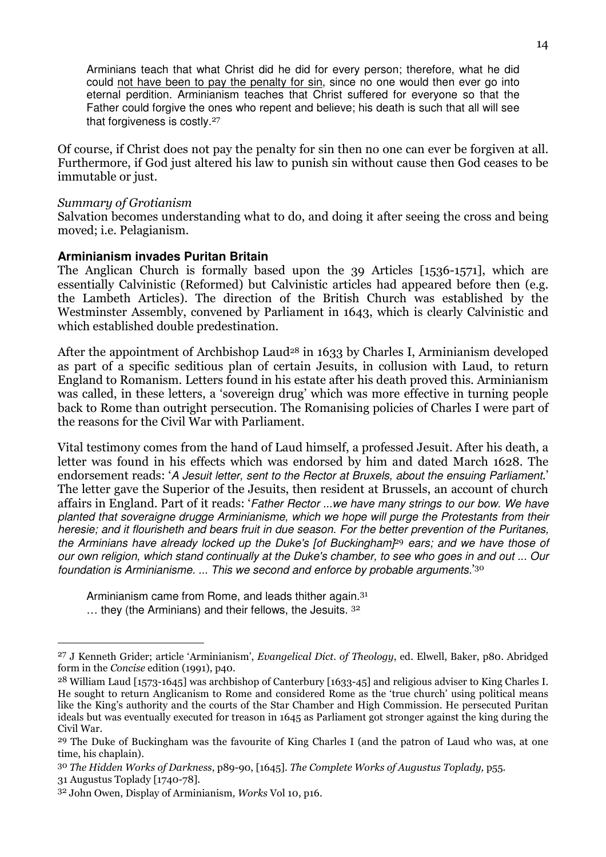Arminians teach that what Christ did he did for every person; therefore, what he did could not have been to pay the penalty for sin, since no one would then ever go into eternal perdition. Arminianism teaches that Christ suffered for everyone so that the Father could forgive the ones who repent and believe; his death is such that all will see that forgiveness is costly.<sup>27</sup>

Of course, if Christ does not pay the penalty for sin then no one can ever be forgiven at all. Furthermore, if God just altered his law to punish sin without cause then God ceases to be immutable or just.

#### Summary of Grotianism

Salvation becomes understanding what to do, and doing it after seeing the cross and being moved; i.e. Pelagianism.

#### **Arminianism invades Puritan Britain**

The Anglican Church is formally based upon the 39 Articles [1536-1571], which are essentially Calvinistic (Reformed) but Calvinistic articles had appeared before then (e.g. the Lambeth Articles). The direction of the British Church was established by the Westminster Assembly, convened by Parliament in 1643, which is clearly Calvinistic and which established double predestination.

After the appointment of Archbishop Laud<sup>28</sup> in 1633 by Charles I, Arminianism developed as part of a specific seditious plan of certain Jesuits, in collusion with Laud, to return England to Romanism. Letters found in his estate after his death proved this. Arminianism was called, in these letters, a 'sovereign drug' which was more effective in turning people back to Rome than outright persecution. The Romanising policies of Charles I were part of the reasons for the Civil War with Parliament.

Vital testimony comes from the hand of Laud himself, a professed Jesuit. After his death, a letter was found in his effects which was endorsed by him and dated March 1628. The endorsement reads: 'A Jesuit letter, sent to the Rector at Bruxels, about the ensuing Parliament.' The letter gave the Superior of the Jesuits, then resident at Brussels, an account of church affairs in England. Part of it reads: 'Father Rector ...we have many strings to our bow. We have planted that soveraigne drugge Arminianisme, which we hope will purge the Protestants from their heresie; and it flourisheth and bears fruit in due season. For the better prevention of the Puritanes, the Arminians have already locked up the Duke's [of Buckingham $P^9$  ears; and we have those of our own religion, which stand continually at the Duke's chamber, to see who goes in and out ... Our foundation is Arminianisme. ... This we second and enforce by probable arguments.<sup>'30</sup>

Arminianism came from Rome, and leads thither again.<sup>31</sup> … they (the Arminians) and their fellows, the Jesuits. <sup>32</sup>

 $\overline{a}$ 

<sup>27</sup> J Kenneth Grider; article 'Arminianism', Evangelical Dict. of Theology, ed. Elwell, Baker, p80. Abridged form in the Concise edition (1991), p40.

<sup>28</sup> William Laud [1573-1645] was archbishop of Canterbury [1633-45] and religious adviser to King Charles I. He sought to return Anglicanism to Rome and considered Rome as the 'true church' using political means like the King's authority and the courts of the Star Chamber and High Commission. He persecuted Puritan ideals but was eventually executed for treason in 1645 as Parliament got stronger against the king during the Civil War.

<sup>29</sup> The Duke of Buckingham was the favourite of King Charles I (and the patron of Laud who was, at one time, his chaplain).

<sup>30</sup> The Hidden Works of Darkness, p89-90, [1645]. The Complete Works of Augustus Toplady, p55.

<sup>31</sup> Augustus Toplady [1740-78].

<sup>32</sup> John Owen, Display of Arminianism, Works Vol 10, p16.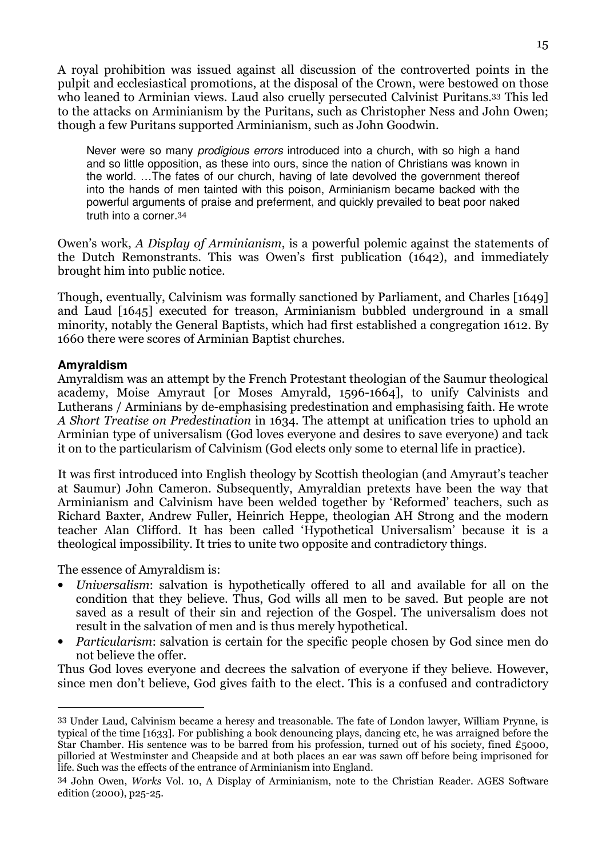A royal prohibition was issued against all discussion of the controverted points in the pulpit and ecclesiastical promotions, at the disposal of the Crown, were bestowed on those who leaned to Arminian views. Laud also cruelly persecuted Calvinist Puritans.33 This led to the attacks on Arminianism by the Puritans, such as Christopher Ness and John Owen; though a few Puritans supported Arminianism, such as John Goodwin.

Never were so many prodigious errors introduced into a church, with so high a hand and so little opposition, as these into ours, since the nation of Christians was known in the world. …The fates of our church, having of late devolved the government thereof into the hands of men tainted with this poison, Arminianism became backed with the powerful arguments of praise and preferment, and quickly prevailed to beat poor naked truth into a corner.<sup>34</sup>

Owen's work, A Display of Arminianism, is a powerful polemic against the statements of the Dutch Remonstrants. This was Owen's first publication (1642), and immediately brought him into public notice.

Though, eventually, Calvinism was formally sanctioned by Parliament, and Charles [1649] and Laud [1645] executed for treason, Arminianism bubbled underground in a small minority, notably the General Baptists, which had first established a congregation 1612. By 1660 there were scores of Arminian Baptist churches.

## **Amyraldism**

I

Amyraldism was an attempt by the French Protestant theologian of the Saumur theological academy, Moise Amyraut [or Moses Amyrald, 1596-1664], to unify Calvinists and Lutherans / Arminians by de-emphasising predestination and emphasising faith. He wrote A Short Treatise on Predestination in 1634. The attempt at unification tries to uphold an Arminian type of universalism (God loves everyone and desires to save everyone) and tack it on to the particularism of Calvinism (God elects only some to eternal life in practice).

It was first introduced into English theology by Scottish theologian (and Amyraut's teacher at Saumur) John Cameron. Subsequently, Amyraldian pretexts have been the way that Arminianism and Calvinism have been welded together by 'Reformed' teachers, such as Richard Baxter, Andrew Fuller, Heinrich Heppe, theologian AH Strong and the modern teacher Alan Clifford. It has been called 'Hypothetical Universalism' because it is a theological impossibility. It tries to unite two opposite and contradictory things.

The essence of Amyraldism is:

- Universalism: salvation is hypothetically offered to all and available for all on the condition that they believe. Thus, God wills all men to be saved. But people are not saved as a result of their sin and rejection of the Gospel. The universalism does not result in the salvation of men and is thus merely hypothetical.
- Particularism: salvation is certain for the specific people chosen by God since men do not believe the offer.

Thus God loves everyone and decrees the salvation of everyone if they believe. However, since men don't believe, God gives faith to the elect. This is a confused and contradictory

<sup>33</sup> Under Laud, Calvinism became a heresy and treasonable. The fate of London lawyer, William Prynne, is typical of the time [1633]. For publishing a book denouncing plays, dancing etc, he was arraigned before the Star Chamber. His sentence was to be barred from his profession, turned out of his society, fined £5000, pilloried at Westminster and Cheapside and at both places an ear was sawn off before being imprisoned for life. Such was the effects of the entrance of Arminianism into England.

<sup>34</sup> John Owen, Works Vol. 10, A Display of Arminianism, note to the Christian Reader. AGES Software edition (2000), p25-25.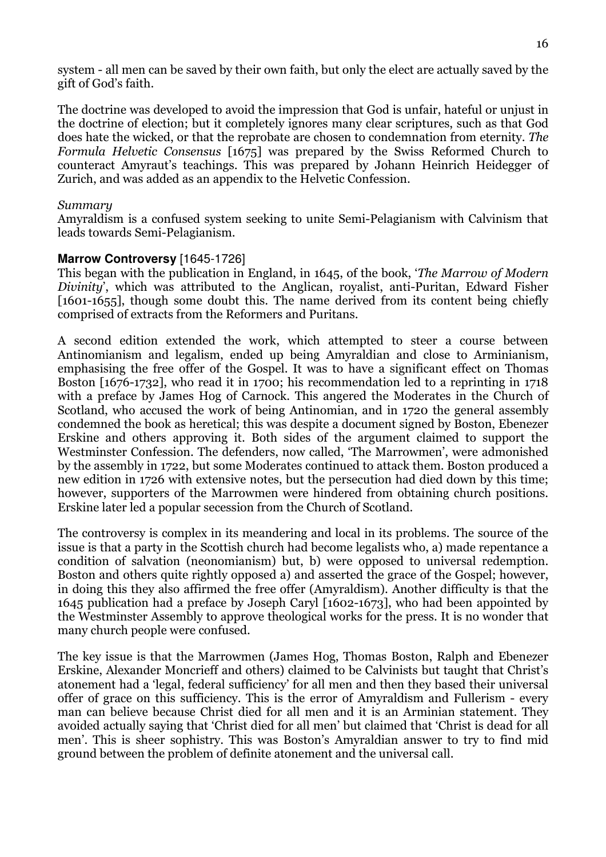system - all men can be saved by their own faith, but only the elect are actually saved by the gift of God's faith.

The doctrine was developed to avoid the impression that God is unfair, hateful or unjust in the doctrine of election; but it completely ignores many clear scriptures, such as that God does hate the wicked, or that the reprobate are chosen to condemnation from eternity. The Formula Helvetic Consensus [1675] was prepared by the Swiss Reformed Church to counteract Amyraut's teachings. This was prepared by Johann Heinrich Heidegger of Zurich, and was added as an appendix to the Helvetic Confession.

#### Summary

Amyraldism is a confused system seeking to unite Semi-Pelagianism with Calvinism that leads towards Semi-Pelagianism.

## **Marrow Controversy** [1645-1726]

This began with the publication in England, in 1645, of the book, 'The Marrow of Modern Divinity', which was attributed to the Anglican, royalist, anti-Puritan, Edward Fisher [1601-1655], though some doubt this. The name derived from its content being chiefly comprised of extracts from the Reformers and Puritans.

A second edition extended the work, which attempted to steer a course between Antinomianism and legalism, ended up being Amyraldian and close to Arminianism, emphasising the free offer of the Gospel. It was to have a significant effect on Thomas Boston [1676-1732], who read it in 1700; his recommendation led to a reprinting in 1718 with a preface by James Hog of Carnock. This angered the Moderates in the Church of Scotland, who accused the work of being Antinomian, and in 1720 the general assembly condemned the book as heretical; this was despite a document signed by Boston, Ebenezer Erskine and others approving it. Both sides of the argument claimed to support the Westminster Confession. The defenders, now called, 'The Marrowmen', were admonished by the assembly in 1722, but some Moderates continued to attack them. Boston produced a new edition in 1726 with extensive notes, but the persecution had died down by this time; however, supporters of the Marrowmen were hindered from obtaining church positions. Erskine later led a popular secession from the Church of Scotland.

The controversy is complex in its meandering and local in its problems. The source of the issue is that a party in the Scottish church had become legalists who, a) made repentance a condition of salvation (neonomianism) but, b) were opposed to universal redemption. Boston and others quite rightly opposed a) and asserted the grace of the Gospel; however, in doing this they also affirmed the free offer (Amyraldism). Another difficulty is that the 1645 publication had a preface by Joseph Caryl [1602-1673], who had been appointed by the Westminster Assembly to approve theological works for the press. It is no wonder that many church people were confused.

The key issue is that the Marrowmen (James Hog, Thomas Boston, Ralph and Ebenezer Erskine, Alexander Moncrieff and others) claimed to be Calvinists but taught that Christ's atonement had a 'legal, federal sufficiency' for all men and then they based their universal offer of grace on this sufficiency. This is the error of Amyraldism and Fullerism - every man can believe because Christ died for all men and it is an Arminian statement. They avoided actually saying that 'Christ died for all men' but claimed that 'Christ is dead for all men'. This is sheer sophistry. This was Boston's Amyraldian answer to try to find mid ground between the problem of definite atonement and the universal call.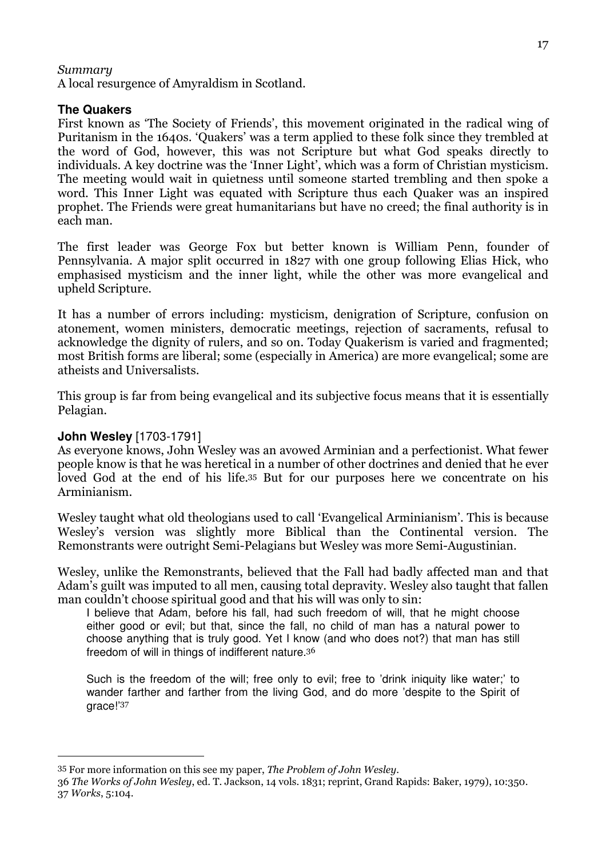## Summary

A local resurgence of Amyraldism in Scotland.

#### **The Quakers**

First known as 'The Society of Friends', this movement originated in the radical wing of Puritanism in the 1640s. 'Quakers' was a term applied to these folk since they trembled at the word of God, however, this was not Scripture but what God speaks directly to individuals. A key doctrine was the 'Inner Light', which was a form of Christian mysticism. The meeting would wait in quietness until someone started trembling and then spoke a word. This Inner Light was equated with Scripture thus each Quaker was an inspired prophet. The Friends were great humanitarians but have no creed; the final authority is in each man.

The first leader was George Fox but better known is William Penn, founder of Pennsylvania. A major split occurred in 1827 with one group following Elias Hick, who emphasised mysticism and the inner light, while the other was more evangelical and upheld Scripture.

It has a number of errors including: mysticism, denigration of Scripture, confusion on atonement, women ministers, democratic meetings, rejection of sacraments, refusal to acknowledge the dignity of rulers, and so on. Today Quakerism is varied and fragmented; most British forms are liberal; some (especially in America) are more evangelical; some are atheists and Universalists.

This group is far from being evangelical and its subjective focus means that it is essentially Pelagian.

## **John Wesley** [1703-1791]

 $\overline{a}$ 

As everyone knows, John Wesley was an avowed Arminian and a perfectionist. What fewer people know is that he was heretical in a number of other doctrines and denied that he ever loved God at the end of his life.35 But for our purposes here we concentrate on his Arminianism.

Wesley taught what old theologians used to call 'Evangelical Arminianism'. This is because Wesley's version was slightly more Biblical than the Continental version. The Remonstrants were outright Semi-Pelagians but Wesley was more Semi-Augustinian.

Wesley, unlike the Remonstrants, believed that the Fall had badly affected man and that Adam's guilt was imputed to all men, causing total depravity. Wesley also taught that fallen man couldn't choose spiritual good and that his will was only to sin:

I believe that Adam, before his fall, had such freedom of will, that he might choose either good or evil; but that, since the fall, no child of man has a natural power to choose anything that is truly good. Yet I know (and who does not?) that man has still freedom of will in things of indifferent nature.<sup>36</sup>

Such is the freedom of the will; free only to evil; free to 'drink iniquity like water;' to wander farther and farther from the living God, and do more 'despite to the Spirit of grace!'<sup>37</sup>

<sup>35</sup> For more information on this see my paper, The Problem of John Wesley.

<sup>36</sup> The Works of John Wesley, ed. T. Jackson, 14 vols. 1831; reprint, Grand Rapids: Baker, 1979), 10:350. 37 Works, 5:104.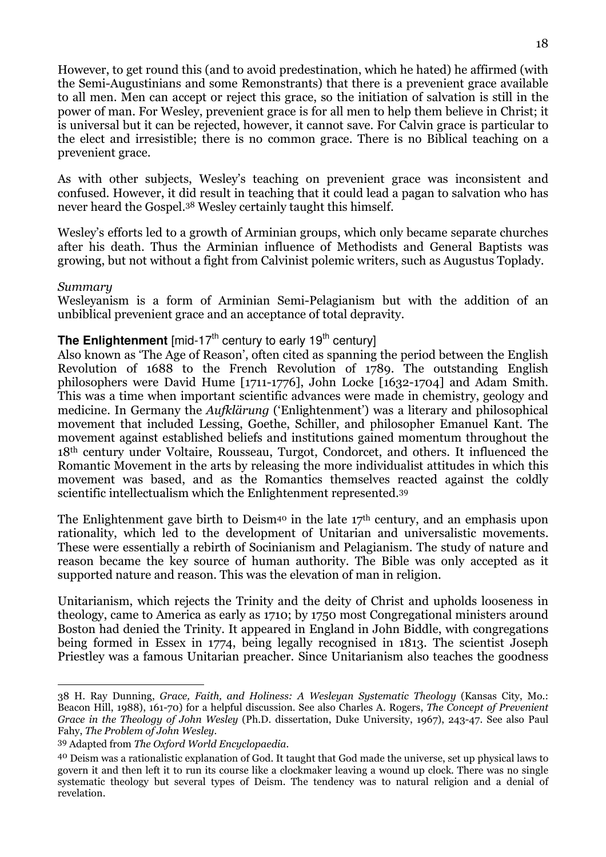However, to get round this (and to avoid predestination, which he hated) he affirmed (with the Semi-Augustinians and some Remonstrants) that there is a prevenient grace available to all men. Men can accept or reject this grace, so the initiation of salvation is still in the power of man. For Wesley, prevenient grace is for all men to help them believe in Christ; it is universal but it can be rejected, however, it cannot save. For Calvin grace is particular to the elect and irresistible; there is no common grace. There is no Biblical teaching on a prevenient grace.

As with other subjects, Wesley's teaching on prevenient grace was inconsistent and confused. However, it did result in teaching that it could lead a pagan to salvation who has never heard the Gospel.38 Wesley certainly taught this himself.

Wesley's efforts led to a growth of Arminian groups, which only became separate churches after his death. Thus the Arminian influence of Methodists and General Baptists was growing, but not without a fight from Calvinist polemic writers, such as Augustus Toplady.

#### Summary

 $\overline{a}$ 

Wesleyanism is a form of Arminian Semi-Pelagianism but with the addition of an unbiblical prevenient grace and an acceptance of total depravity.

## **The Enlightenment** [mid-17<sup>th</sup> century to early 19<sup>th</sup> century]

Also known as 'The Age of Reason', often cited as spanning the period between the English Revolution of 1688 to the French Revolution of 1789. The outstanding English philosophers were David Hume [1711-1776], John Locke [1632-1704] and Adam Smith. This was a time when important scientific advances were made in chemistry, geology and medicine. In Germany the Aufklärung ('Enlightenment') was a literary and philosophical movement that included Lessing, Goethe, Schiller, and philosopher Emanuel Kant. The movement against established beliefs and institutions gained momentum throughout the 18th century under Voltaire, Rousseau, Turgot, Condorcet, and others. It influenced the Romantic Movement in the arts by releasing the more individualist attitudes in which this movement was based, and as the Romantics themselves reacted against the coldly scientific intellectualism which the Enlightenment represented.<sup>39</sup>

The Enlightenment gave birth to Deism<sup>40</sup> in the late 17<sup>th</sup> century, and an emphasis upon rationality, which led to the development of Unitarian and universalistic movements. These were essentially a rebirth of Socinianism and Pelagianism. The study of nature and reason became the key source of human authority. The Bible was only accepted as it supported nature and reason. This was the elevation of man in religion.

Unitarianism, which rejects the Trinity and the deity of Christ and upholds looseness in theology, came to America as early as 1710; by 1750 most Congregational ministers around Boston had denied the Trinity. It appeared in England in John Biddle, with congregations being formed in Essex in 1774, being legally recognised in 1813. The scientist Joseph Priestley was a famous Unitarian preacher. Since Unitarianism also teaches the goodness

<sup>38</sup> H. Ray Dunning, Grace, Faith, and Holiness: A Wesleyan Systematic Theology (Kansas City, Mo.: Beacon Hill, 1988), 161-70) for a helpful discussion. See also Charles A. Rogers, The Concept of Prevenient Grace in the Theology of John Wesley (Ph.D. dissertation, Duke University, 1967), 243-47. See also Paul Fahy, The Problem of John Wesley.

<sup>39</sup> Adapted from The Oxford World Encyclopaedia.

<sup>40</sup> Deism was a rationalistic explanation of God. It taught that God made the universe, set up physical laws to govern it and then left it to run its course like a clockmaker leaving a wound up clock. There was no single systematic theology but several types of Deism. The tendency was to natural religion and a denial of revelation.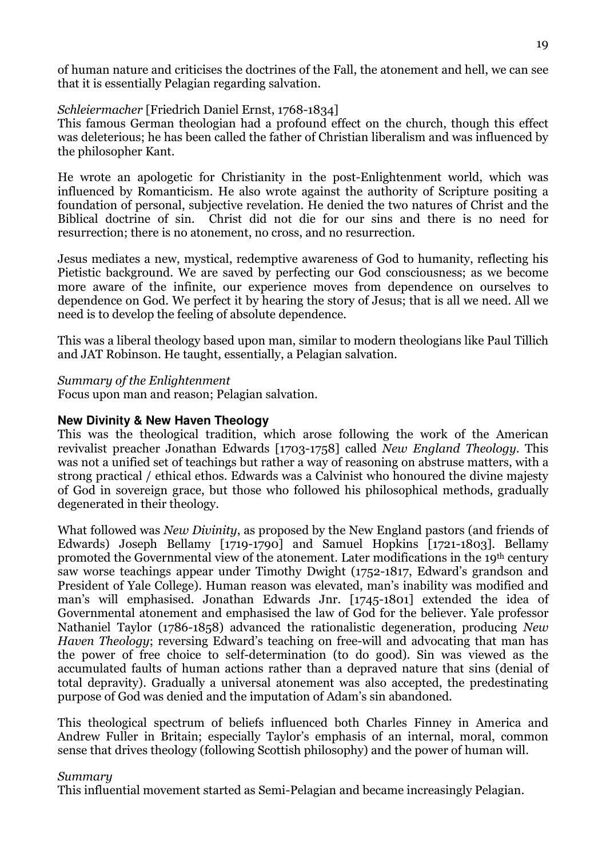of human nature and criticises the doctrines of the Fall, the atonement and hell, we can see that it is essentially Pelagian regarding salvation.

## Schleiermacher [Friedrich Daniel Ernst, 1768-1834]

This famous German theologian had a profound effect on the church, though this effect was deleterious; he has been called the father of Christian liberalism and was influenced by the philosopher Kant.

He wrote an apologetic for Christianity in the post-Enlightenment world, which was influenced by Romanticism. He also wrote against the authority of Scripture positing a foundation of personal, subjective revelation. He denied the two natures of Christ and the Biblical doctrine of sin. Christ did not die for our sins and there is no need for resurrection; there is no atonement, no cross, and no resurrection.

Jesus mediates a new, mystical, redemptive awareness of God to humanity, reflecting his Pietistic background. We are saved by perfecting our God consciousness; as we become more aware of the infinite, our experience moves from dependence on ourselves to dependence on God. We perfect it by hearing the story of Jesus; that is all we need. All we need is to develop the feeling of absolute dependence.

This was a liberal theology based upon man, similar to modern theologians like Paul Tillich and JAT Robinson. He taught, essentially, a Pelagian salvation.

#### Summary of the Enlightenment

Focus upon man and reason; Pelagian salvation.

## **New Divinity & New Haven Theology**

This was the theological tradition, which arose following the work of the American revivalist preacher Jonathan Edwards [1703-1758] called New England Theology. This was not a unified set of teachings but rather a way of reasoning on abstruse matters, with a strong practical / ethical ethos. Edwards was a Calvinist who honoured the divine majesty of God in sovereign grace, but those who followed his philosophical methods, gradually degenerated in their theology.

What followed was *New Divinity*, as proposed by the New England pastors (and friends of Edwards) Joseph Bellamy [1719-1790] and Samuel Hopkins [1721-1803]. Bellamy promoted the Governmental view of the atonement. Later modifications in the 19th century saw worse teachings appear under Timothy Dwight (1752-1817, Edward's grandson and President of Yale College). Human reason was elevated, man's inability was modified and man's will emphasised. Jonathan Edwards Jnr. [1745-1801] extended the idea of Governmental atonement and emphasised the law of God for the believer. Yale professor Nathaniel Taylor (1786-1858) advanced the rationalistic degeneration, producing New Haven Theology; reversing Edward's teaching on free-will and advocating that man has the power of free choice to self-determination (to do good). Sin was viewed as the accumulated faults of human actions rather than a depraved nature that sins (denial of total depravity). Gradually a universal atonement was also accepted, the predestinating purpose of God was denied and the imputation of Adam's sin abandoned.

This theological spectrum of beliefs influenced both Charles Finney in America and Andrew Fuller in Britain; especially Taylor's emphasis of an internal, moral, common sense that drives theology (following Scottish philosophy) and the power of human will.

#### Summary

This influential movement started as Semi-Pelagian and became increasingly Pelagian.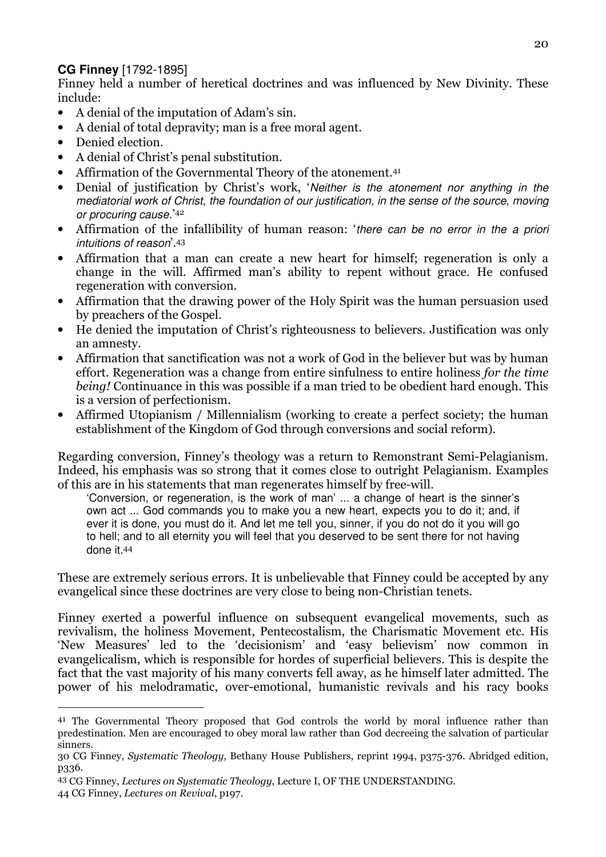## **CG Finney** [1792-1895]

Finney held a number of heretical doctrines and was influenced by New Divinity. These include:

- A denial of the imputation of Adam's sin.
- A denial of total depravity; man is a free moral agent.
- Denied election.

I

- A denial of Christ's penal substitution.
- Affirmation of the Governmental Theory of the atonement.<sup>41</sup>
- Denial of justification by Christ's work, 'Neither is the atonement nor anything in the mediatorial work of Christ, the foundation of our justification, in the sense of the source, moving or procuring cause.' 42
- Affirmation of the infallibility of human reason: 'there can be no error in the a priori intuitions of reason'.<sup>43</sup>
- Affirmation that a man can create a new heart for himself; regeneration is only a change in the will. Affirmed man's ability to repent without grace. He confused regeneration with conversion.
- Affirmation that the drawing power of the Holy Spirit was the human persuasion used by preachers of the Gospel.
- He denied the imputation of Christ's righteousness to believers. Justification was only an amnesty.
- Affirmation that sanctification was not a work of God in the believer but was by human effort. Regeneration was a change from entire sinfulness to entire holiness for the time being! Continuance in this was possible if a man tried to be obedient hard enough. This is a version of perfectionism.
- Affirmed Utopianism / Millennialism (working to create a perfect society; the human establishment of the Kingdom of God through conversions and social reform).

Regarding conversion, Finney's theology was a return to Remonstrant Semi-Pelagianism. Indeed, his emphasis was so strong that it comes close to outright Pelagianism. Examples of this are in his statements that man regenerates himself by free-will.

'Conversion, or regeneration, is the work of man' ... a change of heart is the sinner's own act ... God commands you to make you a new heart, expects you to do it; and, if ever it is done, you must do it. And let me tell you, sinner, if you do not do it you will go to hell; and to all eternity you will feel that you deserved to be sent there for not having done it.<sup>44</sup>

These are extremely serious errors. It is unbelievable that Finney could be accepted by any evangelical since these doctrines are very close to being non-Christian tenets.

Finney exerted a powerful influence on subsequent evangelical movements, such as revivalism, the holiness Movement, Pentecostalism, the Charismatic Movement etc. His 'New Measures' led to the 'decisionism' and 'easy believism' now common in evangelicalism, which is responsible for hordes of superficial believers. This is despite the fact that the vast majority of his many converts fell away, as he himself later admitted. The power of his melodramatic, over-emotional, humanistic revivals and his racy books

<sup>&</sup>lt;sup>41</sup> The Governmental Theory proposed that God controls the world by moral influence rather than predestination. Men are encouraged to obey moral law rather than God decreeing the salvation of particular sinners.

<sup>30</sup> CG Finney, Systematic Theology, Bethany House Publishers, reprint 1994, p375-376. Abridged edition, p336.

<sup>43</sup> CG Finney, Lectures on Systematic Theology, Lecture I, OF THE UNDERSTANDING. 44 CG Finney, Lectures on Revival, p197.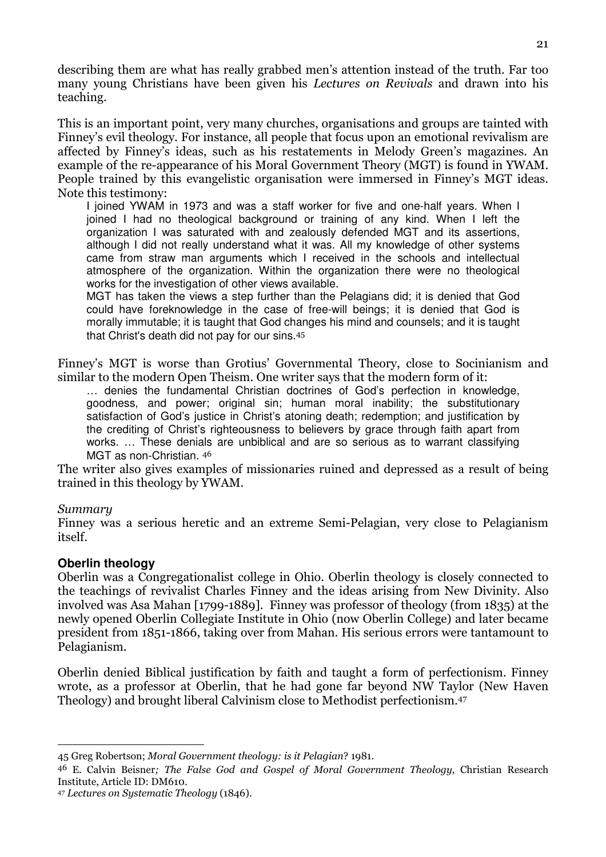describing them are what has really grabbed men's attention instead of the truth. Far too many young Christians have been given his Lectures on Revivals and drawn into his teaching.

This is an important point, very many churches, organisations and groups are tainted with Finney's evil theology. For instance, all people that focus upon an emotional revivalism are affected by Finney's ideas, such as his restatements in Melody Green's magazines. An example of the re-appearance of his Moral Government Theory (MGT) is found in YWAM. People trained by this evangelistic organisation were immersed in Finney's MGT ideas. Note this testimony:

I joined YWAM in 1973 and was a staff worker for five and one-half years. When I joined I had no theological background or training of any kind. When I left the organization I was saturated with and zealously defended MGT and its assertions, although I did not really understand what it was. All my knowledge of other systems came from straw man arguments which I received in the schools and intellectual atmosphere of the organization. Within the organization there were no theological works for the investigation of other views available.

MGT has taken the views a step further than the Pelagians did; it is denied that God could have foreknowledge in the case of free-will beings; it is denied that God is morally immutable; it is taught that God changes his mind and counsels; and it is taught that Christ's death did not pay for our sins.<sup>45</sup>

Finney's MGT is worse than Grotius' Governmental Theory, close to Socinianism and similar to the modern Open Theism. One writer says that the modern form of it:

… denies the fundamental Christian doctrines of God's perfection in knowledge, goodness, and power; original sin; human moral inability; the substitutionary satisfaction of God's justice in Christ's atoning death; redemption; and justification by the crediting of Christ's righteousness to believers by grace through faith apart from works. … These denials are unbiblical and are so serious as to warrant classifying MGT as non-Christian. <sup>46</sup>

The writer also gives examples of missionaries ruined and depressed as a result of being trained in this theology by YWAM.

## Summary

Finney was a serious heretic and an extreme Semi-Pelagian, very close to Pelagianism itself.

## **Oberlin theology**

Oberlin was a Congregationalist college in Ohio. Oberlin theology is closely connected to the teachings of revivalist Charles Finney and the ideas arising from New Divinity. Also involved was Asa Mahan [1799-1889]. Finney was professor of theology (from 1835) at the newly opened Oberlin Collegiate Institute in Ohio (now Oberlin College) and later became president from 1851-1866, taking over from Mahan. His serious errors were tantamount to Pelagianism.

Oberlin denied Biblical justification by faith and taught a form of perfectionism. Finney wrote, as a professor at Oberlin, that he had gone far beyond NW Taylor (New Haven Theology) and brought liberal Calvinism close to Methodist perfectionism.<sup>47</sup>

I 45 Greg Robertson; Moral Government theology: is it Pelagian? 1981.

<sup>46</sup> E. Calvin Beisner; The False God and Gospel of Moral Government Theology, Christian Research Institute, Article ID: DM610.

<sup>47</sup> Lectures on Systematic Theology (1846).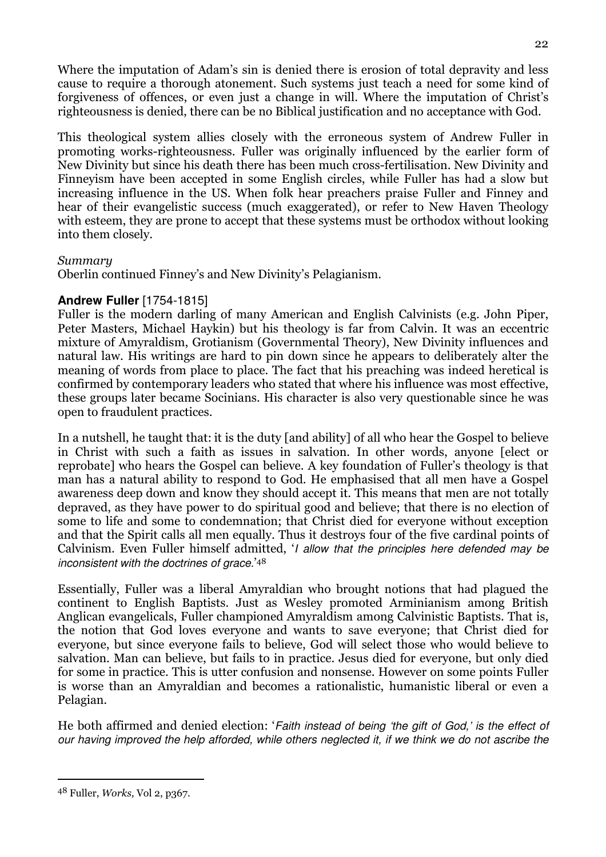Where the imputation of Adam's sin is denied there is erosion of total depravity and less cause to require a thorough atonement. Such systems just teach a need for some kind of forgiveness of offences, or even just a change in will. Where the imputation of Christ's righteousness is denied, there can be no Biblical justification and no acceptance with God.

This theological system allies closely with the erroneous system of Andrew Fuller in promoting works-righteousness. Fuller was originally influenced by the earlier form of New Divinity but since his death there has been much cross-fertilisation. New Divinity and Finneyism have been accepted in some English circles, while Fuller has had a slow but increasing influence in the US. When folk hear preachers praise Fuller and Finney and hear of their evangelistic success (much exaggerated), or refer to New Haven Theology with esteem, they are prone to accept that these systems must be orthodox without looking into them closely.

## Summary

Oberlin continued Finney's and New Divinity's Pelagianism.

## **Andrew Fuller** [1754-1815]

Fuller is the modern darling of many American and English Calvinists (e.g. John Piper, Peter Masters, Michael Haykin) but his theology is far from Calvin. It was an eccentric mixture of Amyraldism, Grotianism (Governmental Theory), New Divinity influences and natural law. His writings are hard to pin down since he appears to deliberately alter the meaning of words from place to place. The fact that his preaching was indeed heretical is confirmed by contemporary leaders who stated that where his influence was most effective, these groups later became Socinians. His character is also very questionable since he was open to fraudulent practices.

In a nutshell, he taught that: it is the duty [and ability] of all who hear the Gospel to believe in Christ with such a faith as issues in salvation. In other words, anyone [elect or reprobate] who hears the Gospel can believe. A key foundation of Fuller's theology is that man has a natural ability to respond to God. He emphasised that all men have a Gospel awareness deep down and know they should accept it. This means that men are not totally depraved, as they have power to do spiritual good and believe; that there is no election of some to life and some to condemnation; that Christ died for everyone without exception and that the Spirit calls all men equally. Thus it destroys four of the five cardinal points of Calvinism. Even Fuller himself admitted, 'I allow that the principles here defended may be inconsistent with the doctrines of grace.' 48

Essentially, Fuller was a liberal Amyraldian who brought notions that had plagued the continent to English Baptists. Just as Wesley promoted Arminianism among British Anglican evangelicals, Fuller championed Amyraldism among Calvinistic Baptists. That is, the notion that God loves everyone and wants to save everyone; that Christ died for everyone, but since everyone fails to believe, God will select those who would believe to salvation. Man can believe, but fails to in practice. Jesus died for everyone, but only died for some in practice. This is utter confusion and nonsense. However on some points Fuller is worse than an Amyraldian and becomes a rationalistic, humanistic liberal or even a Pelagian.

He both affirmed and denied election: 'Faith instead of being 'the gift of God,' is the effect of our having improved the help afforded, while others neglected it, if we think we do not ascribe the

 $\overline{a}$ 

<sup>48</sup> Fuller, Works, Vol 2, p367.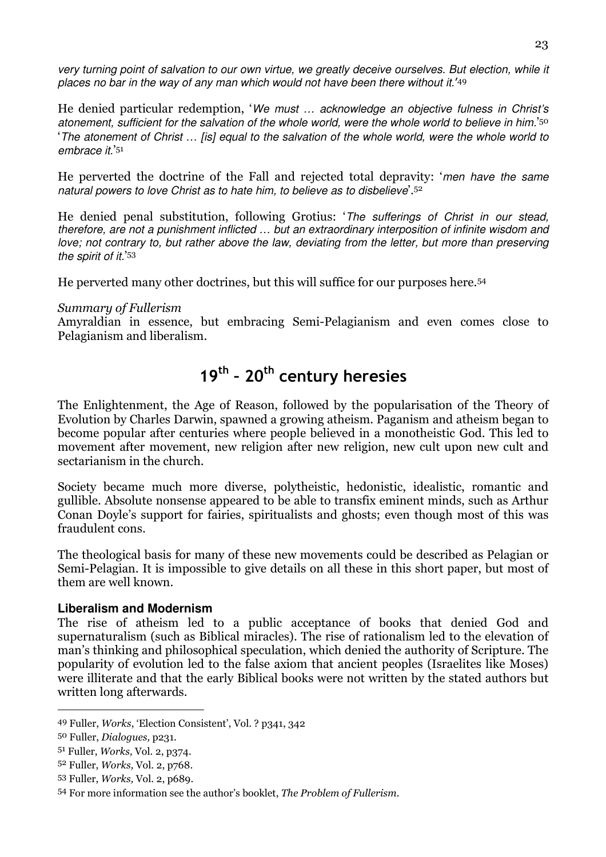very turning point of salvation to our own virtue, we greatly deceive ourselves. But election, while it places no bar in the way of any man which would not have been there without it.<sup>'49</sup>

He denied particular redemption, 'We must … acknowledge an objective fulness in Christ's atonement, sufficient for the salvation of the whole world, were the whole world to believe in him.' 50 'The atonement of Christ … [is] equal to the salvation of the whole world, were the whole world to embrace it.' 51

He perverted the doctrine of the Fall and rejected total depravity: 'men have the same natural powers to love Christ as to hate him, to believe as to disbelieve'.<sup>52</sup>

He denied penal substitution, following Grotius: 'The sufferings of Christ in our stead, therefore, are not a punishment inflicted … but an extraordinary interposition of infinite wisdom and love; not contrary to, but rather above the law, deviating from the letter, but more than preserving the spirit of it.' 53

He perverted many other doctrines, but this will suffice for our purposes here.<sup>54</sup>

## Summary of Fullerism

Amyraldian in essence, but embracing Semi-Pelagianism and even comes close to Pelagianism and liberalism.

# 19<sup>th</sup> - 20<sup>th</sup> century heresies

The Enlightenment, the Age of Reason, followed by the popularisation of the Theory of Evolution by Charles Darwin, spawned a growing atheism. Paganism and atheism began to become popular after centuries where people believed in a monotheistic God. This led to movement after movement, new religion after new religion, new cult upon new cult and sectarianism in the church.

Society became much more diverse, polytheistic, hedonistic, idealistic, romantic and gullible. Absolute nonsense appeared to be able to transfix eminent minds, such as Arthur Conan Doyle's support for fairies, spiritualists and ghosts; even though most of this was fraudulent cons.

The theological basis for many of these new movements could be described as Pelagian or Semi-Pelagian. It is impossible to give details on all these in this short paper, but most of them are well known.

## **Liberalism and Modernism**

The rise of atheism led to a public acceptance of books that denied God and supernaturalism (such as Biblical miracles). The rise of rationalism led to the elevation of man's thinking and philosophical speculation, which denied the authority of Scripture. The popularity of evolution led to the false axiom that ancient peoples (Israelites like Moses) were illiterate and that the early Biblical books were not written by the stated authors but written long afterwards.

 $\overline{a}$ 

<sup>49</sup> Fuller, Works, 'Election Consistent', Vol. ? p341, 342

<sup>50</sup> Fuller, Dialogues, p231.

<sup>51</sup> Fuller, Works, Vol. 2, p374.

<sup>52</sup> Fuller, Works, Vol. 2, p768.

<sup>53</sup> Fuller, Works, Vol. 2, p689.

<sup>54</sup> For more information see the author's booklet, The Problem of Fullerism.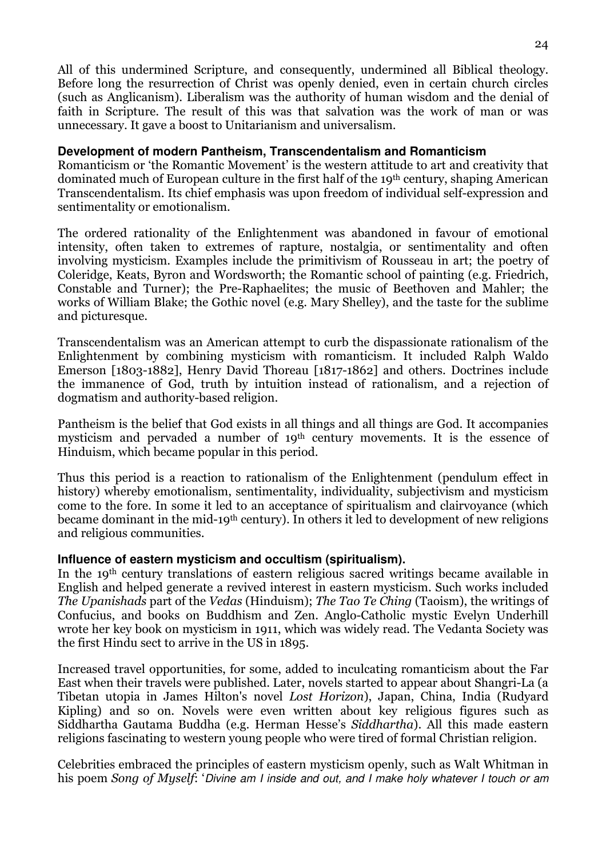All of this undermined Scripture, and consequently, undermined all Biblical theology. Before long the resurrection of Christ was openly denied, even in certain church circles (such as Anglicanism). Liberalism was the authority of human wisdom and the denial of faith in Scripture. The result of this was that salvation was the work of man or was unnecessary. It gave a boost to Unitarianism and universalism.

#### **Development of modern Pantheism, Transcendentalism and Romanticism**

Romanticism or 'the Romantic Movement' is the western attitude to art and creativity that dominated much of European culture in the first half of the 19th century, shaping American Transcendentalism. Its chief emphasis was upon freedom of individual self-expression and sentimentality or emotionalism.

The ordered rationality of the Enlightenment was abandoned in favour of emotional intensity, often taken to extremes of rapture, nostalgia, or sentimentality and often involving mysticism. Examples include the primitivism of Rousseau in art; the poetry of Coleridge, Keats, Byron and Wordsworth; the Romantic school of painting (e.g. Friedrich, Constable and Turner); the Pre-Raphaelites; the music of Beethoven and Mahler; the works of William Blake; the Gothic novel (e.g. Mary Shelley), and the taste for the sublime and picturesque.

Transcendentalism was an American attempt to curb the dispassionate rationalism of the Enlightenment by combining mysticism with romanticism. It included Ralph Waldo Emerson [1803-1882], Henry David Thoreau [1817-1862] and others. Doctrines include the immanence of God, truth by intuition instead of rationalism, and a rejection of dogmatism and authority-based religion.

Pantheism is the belief that God exists in all things and all things are God. It accompanies mysticism and pervaded a number of 19th century movements. It is the essence of Hinduism, which became popular in this period.

Thus this period is a reaction to rationalism of the Enlightenment (pendulum effect in history) whereby emotionalism, sentimentality, individuality, subjectivism and mysticism come to the fore. In some it led to an acceptance of spiritualism and clairvoyance (which became dominant in the mid-19th century). In others it led to development of new religions and religious communities.

## **Influence of eastern mysticism and occultism (spiritualism).**

In the 19th century translations of eastern religious sacred writings became available in English and helped generate a revived interest in eastern mysticism. Such works included The Upanishads part of the Vedas (Hinduism); The Tao Te Ching (Taoism), the writings of Confucius, and books on Buddhism and Zen. Anglo-Catholic mystic Evelyn Underhill wrote her key book on mysticism in 1911, which was widely read. The Vedanta Society was the first Hindu sect to arrive in the US in 1895.

Increased travel opportunities, for some, added to inculcating romanticism about the Far East when their travels were published. Later, novels started to appear about Shangri-La (a Tibetan utopia in James Hilton's novel Lost Horizon), Japan, China, India (Rudyard Kipling) and so on. Novels were even written about key religious figures such as Siddhartha Gautama Buddha (e.g. Herman Hesse's Siddhartha). All this made eastern religions fascinating to western young people who were tired of formal Christian religion.

Celebrities embraced the principles of eastern mysticism openly, such as Walt Whitman in his poem Song of Myself: 'Divine am I inside and out, and I make holy whatever I touch or am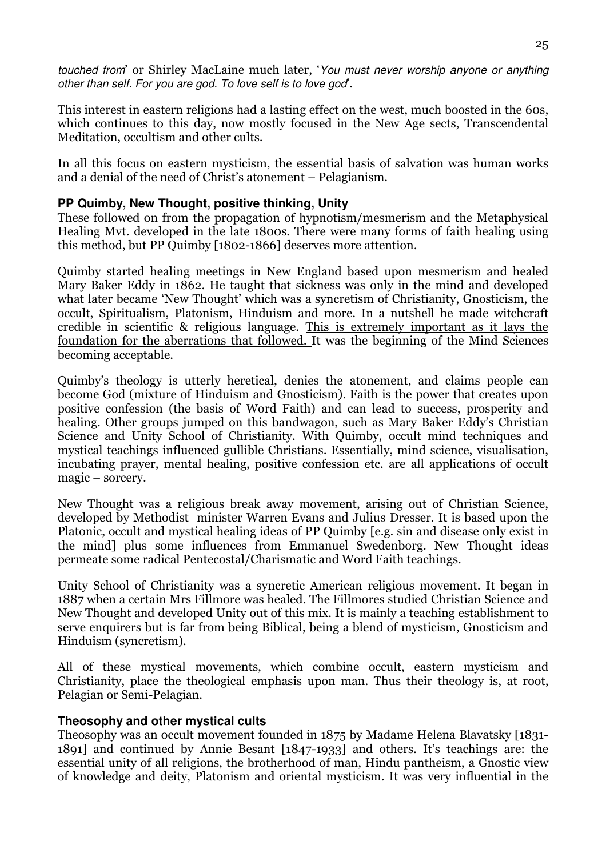touched from' or Shirley MacLaine much later, 'You must never worship anyone or anything other than self. For you are god. To love self is to love god'.

This interest in eastern religions had a lasting effect on the west, much boosted in the 60s, which continues to this day, now mostly focused in the New Age sects, Transcendental Meditation, occultism and other cults.

In all this focus on eastern mysticism, the essential basis of salvation was human works and a denial of the need of Christ's atonement – Pelagianism.

## **PP Quimby, New Thought, positive thinking, Unity**

These followed on from the propagation of hypnotism/mesmerism and the Metaphysical Healing Mvt. developed in the late 1800s. There were many forms of faith healing using this method, but PP Quimby [1802-1866] deserves more attention.

Quimby started healing meetings in New England based upon mesmerism and healed Mary Baker Eddy in 1862. He taught that sickness was only in the mind and developed what later became 'New Thought' which was a syncretism of Christianity, Gnosticism, the occult, Spiritualism, Platonism, Hinduism and more. In a nutshell he made witchcraft credible in scientific & religious language. This is extremely important as it lays the foundation for the aberrations that followed. It was the beginning of the Mind Sciences becoming acceptable.

Quimby's theology is utterly heretical, denies the atonement, and claims people can become God (mixture of Hinduism and Gnosticism). Faith is the power that creates upon positive confession (the basis of Word Faith) and can lead to success, prosperity and healing. Other groups jumped on this bandwagon, such as Mary Baker Eddy's Christian Science and Unity School of Christianity. With Quimby, occult mind techniques and mystical teachings influenced gullible Christians. Essentially, mind science, visualisation, incubating prayer, mental healing, positive confession etc. are all applications of occult magic – sorcery.

New Thought was a religious break away movement, arising out of Christian Science, developed by Methodist minister Warren Evans and Julius Dresser. It is based upon the Platonic, occult and mystical healing ideas of PP Quimby [e.g. sin and disease only exist in the mind] plus some influences from Emmanuel Swedenborg. New Thought ideas permeate some radical Pentecostal/Charismatic and Word Faith teachings.

Unity School of Christianity was a syncretic American religious movement. It began in 1887 when a certain Mrs Fillmore was healed. The Fillmores studied Christian Science and New Thought and developed Unity out of this mix. It is mainly a teaching establishment to serve enquirers but is far from being Biblical, being a blend of mysticism, Gnosticism and Hinduism (syncretism).

All of these mystical movements, which combine occult, eastern mysticism and Christianity, place the theological emphasis upon man. Thus their theology is, at root, Pelagian or Semi-Pelagian.

## **Theosophy and other mystical cults**

Theosophy was an occult movement founded in 1875 by Madame Helena Blavatsky [1831- 1891] and continued by Annie Besant [1847-1933] and others. It's teachings are: the essential unity of all religions, the brotherhood of man, Hindu pantheism, a Gnostic view of knowledge and deity, Platonism and oriental mysticism. It was very influential in the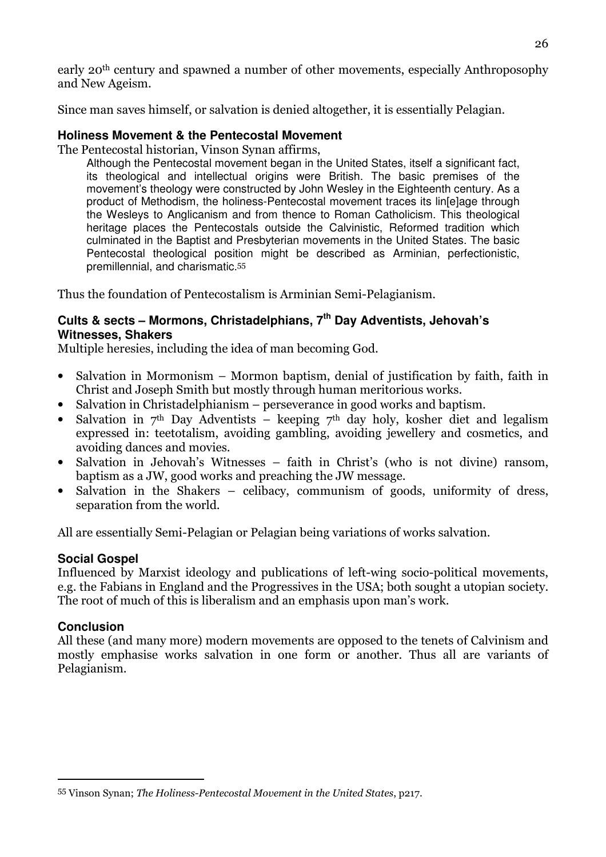early 20th century and spawned a number of other movements, especially Anthroposophy and New Ageism.

Since man saves himself, or salvation is denied altogether, it is essentially Pelagian.

## **Holiness Movement & the Pentecostal Movement**

The Pentecostal historian, Vinson Synan affirms,

Although the Pentecostal movement began in the United States, itself a significant fact, its theological and intellectual origins were British. The basic premises of the movement's theology were constructed by John Wesley in the Eighteenth century. As a product of Methodism, the holiness-Pentecostal movement traces its lin[e]age through the Wesleys to Anglicanism and from thence to Roman Catholicism. This theological heritage places the Pentecostals outside the Calvinistic, Reformed tradition which culminated in the Baptist and Presbyterian movements in the United States. The basic Pentecostal theological position might be described as Arminian, perfectionistic, premillennial, and charismatic.<sup>55</sup>

Thus the foundation of Pentecostalism is Arminian Semi-Pelagianism.

## **Cults & sects – Mormons, Christadelphians, 7th Day Adventists, Jehovah's Witnesses, Shakers**

Multiple heresies, including the idea of man becoming God.

- Salvation in Mormonism Mormon baptism, denial of justification by faith, faith in Christ and Joseph Smith but mostly through human meritorious works.
- Salvation in Christadelphianism perseverance in good works and baptism.
- Salvation in  $7<sup>th</sup>$  Day Adventists keeping  $7<sup>th</sup>$  day holy, kosher diet and legalism expressed in: teetotalism, avoiding gambling, avoiding jewellery and cosmetics, and avoiding dances and movies.
- Salvation in Jehovah's Witnesses faith in Christ's (who is not divine) ransom, baptism as a JW, good works and preaching the JW message.
- Salvation in the Shakers celibacy, communism of goods, uniformity of dress, separation from the world.

All are essentially Semi-Pelagian or Pelagian being variations of works salvation.

## **Social Gospel**

Influenced by Marxist ideology and publications of left-wing socio-political movements, e.g. the Fabians in England and the Progressives in the USA; both sought a utopian society. The root of much of this is liberalism and an emphasis upon man's work.

## **Conclusion**

 $\overline{a}$ 

All these (and many more) modern movements are opposed to the tenets of Calvinism and mostly emphasise works salvation in one form or another. Thus all are variants of Pelagianism.

<sup>55</sup> Vinson Synan; The Holiness-Pentecostal Movement in the United States, p217.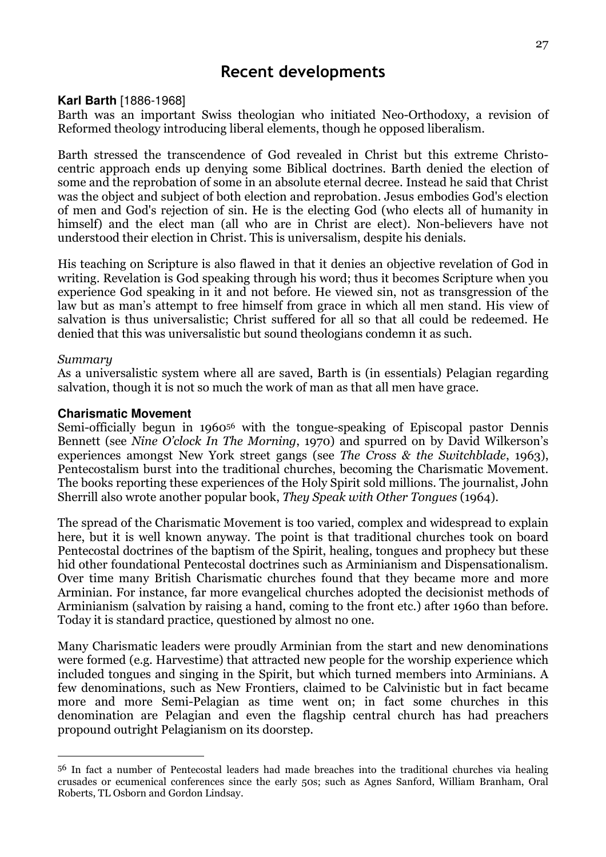## Recent developments

#### **Karl Barth** [1886-1968]

Barth was an important Swiss theologian who initiated Neo-Orthodoxy, a revision of Reformed theology introducing liberal elements, though he opposed liberalism.

Barth stressed the transcendence of God revealed in Christ but this extreme Christocentric approach ends up denying some Biblical doctrines. Barth denied the election of some and the reprobation of some in an absolute eternal decree. Instead he said that Christ was the object and subject of both election and reprobation. Jesus embodies God's election of men and God's rejection of sin. He is the electing God (who elects all of humanity in himself) and the elect man (all who are in Christ are elect). Non-believers have not understood their election in Christ. This is universalism, despite his denials.

His teaching on Scripture is also flawed in that it denies an objective revelation of God in writing. Revelation is God speaking through his word; thus it becomes Scripture when you experience God speaking in it and not before. He viewed sin, not as transgression of the law but as man's attempt to free himself from grace in which all men stand. His view of salvation is thus universalistic; Christ suffered for all so that all could be redeemed. He denied that this was universalistic but sound theologians condemn it as such.

#### Summary

 $\overline{a}$ 

As a universalistic system where all are saved, Barth is (in essentials) Pelagian regarding salvation, though it is not so much the work of man as that all men have grace.

#### **Charismatic Movement**

Semi-officially begun in 196056 with the tongue-speaking of Episcopal pastor Dennis Bennett (see Nine O'clock In The Morning, 1970) and spurred on by David Wilkerson's experiences amongst New York street gangs (see The Cross & the Switchblade, 1963), Pentecostalism burst into the traditional churches, becoming the Charismatic Movement. The books reporting these experiences of the Holy Spirit sold millions. The journalist, John Sherrill also wrote another popular book, They Speak with Other Tongues (1964).

The spread of the Charismatic Movement is too varied, complex and widespread to explain here, but it is well known anyway. The point is that traditional churches took on board Pentecostal doctrines of the baptism of the Spirit, healing, tongues and prophecy but these hid other foundational Pentecostal doctrines such as Arminianism and Dispensationalism. Over time many British Charismatic churches found that they became more and more Arminian. For instance, far more evangelical churches adopted the decisionist methods of Arminianism (salvation by raising a hand, coming to the front etc.) after 1960 than before. Today it is standard practice, questioned by almost no one.

Many Charismatic leaders were proudly Arminian from the start and new denominations were formed (e.g. Harvestime) that attracted new people for the worship experience which included tongues and singing in the Spirit, but which turned members into Arminians. A few denominations, such as New Frontiers, claimed to be Calvinistic but in fact became more and more Semi-Pelagian as time went on; in fact some churches in this denomination are Pelagian and even the flagship central church has had preachers propound outright Pelagianism on its doorstep.

<sup>56</sup> In fact a number of Pentecostal leaders had made breaches into the traditional churches via healing crusades or ecumenical conferences since the early 50s; such as Agnes Sanford, William Branham, Oral Roberts, TL Osborn and Gordon Lindsay.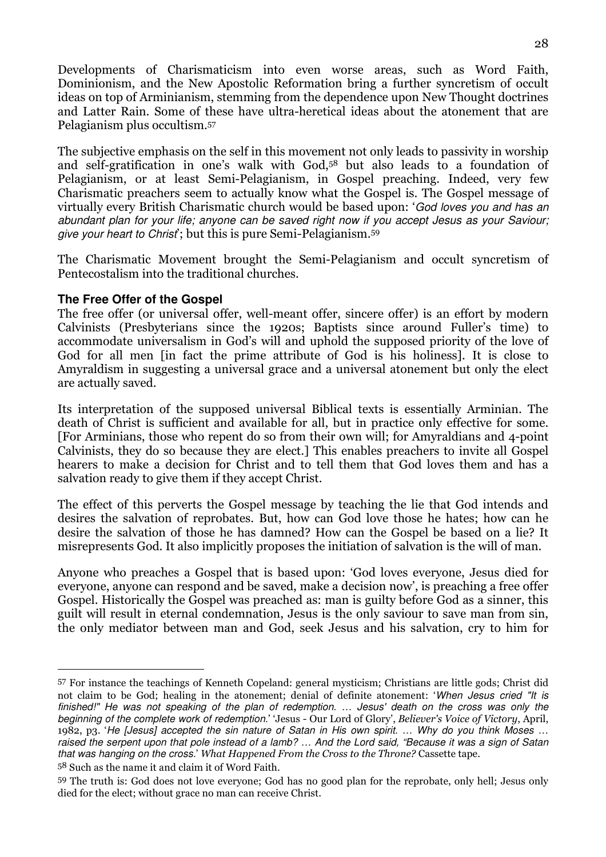Developments of Charismaticism into even worse areas, such as Word Faith, Dominionism, and the New Apostolic Reformation bring a further syncretism of occult ideas on top of Arminianism, stemming from the dependence upon New Thought doctrines and Latter Rain. Some of these have ultra-heretical ideas about the atonement that are Pelagianism plus occultism.<sup>57</sup>

The subjective emphasis on the self in this movement not only leads to passivity in worship and self-gratification in one's walk with God,58 but also leads to a foundation of Pelagianism, or at least Semi-Pelagianism, in Gospel preaching. Indeed, very few Charismatic preachers seem to actually know what the Gospel is. The Gospel message of virtually every British Charismatic church would be based upon: 'God loves you and has an abundant plan for your life; anyone can be saved right now if you accept Jesus as your Saviour; give your heart to Christ'; but this is pure Semi-Pelagianism.<sup>59</sup>

The Charismatic Movement brought the Semi-Pelagianism and occult syncretism of Pentecostalism into the traditional churches.

## **The Free Offer of the Gospel**

 $\overline{a}$ 

The free offer (or universal offer, well-meant offer, sincere offer) is an effort by modern Calvinists (Presbyterians since the 1920s; Baptists since around Fuller's time) to accommodate universalism in God's will and uphold the supposed priority of the love of God for all men [in fact the prime attribute of God is his holiness]. It is close to Amyraldism in suggesting a universal grace and a universal atonement but only the elect are actually saved.

Its interpretation of the supposed universal Biblical texts is essentially Arminian. The death of Christ is sufficient and available for all, but in practice only effective for some. [For Arminians, those who repent do so from their own will; for Amyraldians and 4-point Calvinists, they do so because they are elect.] This enables preachers to invite all Gospel hearers to make a decision for Christ and to tell them that God loves them and has a salvation ready to give them if they accept Christ.

The effect of this perverts the Gospel message by teaching the lie that God intends and desires the salvation of reprobates. But, how can God love those he hates; how can he desire the salvation of those he has damned? How can the Gospel be based on a lie? It misrepresents God. It also implicitly proposes the initiation of salvation is the will of man.

Anyone who preaches a Gospel that is based upon: 'God loves everyone, Jesus died for everyone, anyone can respond and be saved, make a decision now', is preaching a free offer Gospel. Historically the Gospel was preached as: man is guilty before God as a sinner, this guilt will result in eternal condemnation, Jesus is the only saviour to save man from sin, the only mediator between man and God, seek Jesus and his salvation, cry to him for

<sup>57</sup> For instance the teachings of Kenneth Copeland: general mysticism; Christians are little gods; Christ did not claim to be God; healing in the atonement; denial of definite atonement: 'When Jesus cried "It is finished!" He was not speaking of the plan of redemption. … Jesus' death on the cross was only the beginning of the complete work of redemption.' 'Jesus - Our Lord of Glory', Believer's Voice of Victory, April, 1982, p3. 'He [Jesus] accepted the sin nature of Satan in His own spirit. … Why do you think Moses … raised the serpent upon that pole instead of a lamb? ... And the Lord said, "Because it was a sign of Satan that was hanging on the cross.' What Happened From the Cross to the Throne? Cassette tape. 58 Such as the name it and claim it of Word Faith.

<sup>59</sup> The truth is: God does not love everyone; God has no good plan for the reprobate, only hell; Jesus only died for the elect; without grace no man can receive Christ.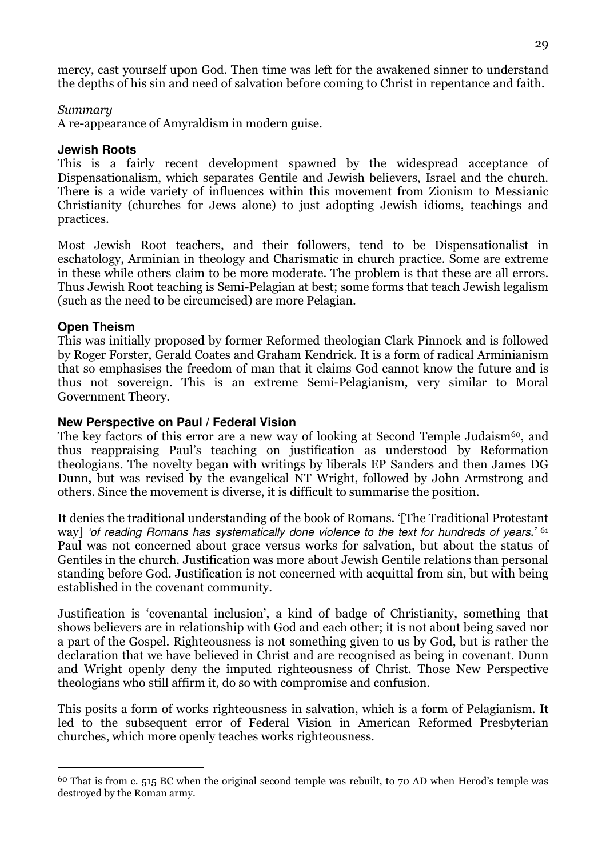mercy, cast yourself upon God. Then time was left for the awakened sinner to understand the depths of his sin and need of salvation before coming to Christ in repentance and faith.

#### Summary

A re-appearance of Amyraldism in modern guise.

#### **Jewish Roots**

This is a fairly recent development spawned by the widespread acceptance of Dispensationalism, which separates Gentile and Jewish believers, Israel and the church. There is a wide variety of influences within this movement from Zionism to Messianic Christianity (churches for Jews alone) to just adopting Jewish idioms, teachings and practices.

Most Jewish Root teachers, and their followers, tend to be Dispensationalist in eschatology, Arminian in theology and Charismatic in church practice. Some are extreme in these while others claim to be more moderate. The problem is that these are all errors. Thus Jewish Root teaching is Semi-Pelagian at best; some forms that teach Jewish legalism (such as the need to be circumcised) are more Pelagian.

#### **Open Theism**

 $\overline{a}$ 

This was initially proposed by former Reformed theologian Clark Pinnock and is followed by Roger Forster, Gerald Coates and Graham Kendrick. It is a form of radical Arminianism that so emphasises the freedom of man that it claims God cannot know the future and is thus not sovereign. This is an extreme Semi-Pelagianism, very similar to Moral Government Theory.

#### **New Perspective on Paul / Federal Vision**

The key factors of this error are a new way of looking at Second Temple Judaism<sup>60</sup>, and thus reappraising Paul's teaching on justification as understood by Reformation theologians. The novelty began with writings by liberals EP Sanders and then James DG Dunn, but was revised by the evangelical NT Wright, followed by John Armstrong and others. Since the movement is diverse, it is difficult to summarise the position.

It denies the traditional understanding of the book of Romans. '[The Traditional Protestant way] 'of reading Romans has systematically done violence to the text for hundreds of years.' 61 Paul was not concerned about grace versus works for salvation, but about the status of Gentiles in the church. Justification was more about Jewish Gentile relations than personal standing before God. Justification is not concerned with acquittal from sin, but with being established in the covenant community.

Justification is 'covenantal inclusion', a kind of badge of Christianity, something that shows believers are in relationship with God and each other; it is not about being saved nor a part of the Gospel. Righteousness is not something given to us by God, but is rather the declaration that we have believed in Christ and are recognised as being in covenant. Dunn and Wright openly deny the imputed righteousness of Christ. Those New Perspective theologians who still affirm it, do so with compromise and confusion.

This posits a form of works righteousness in salvation, which is a form of Pelagianism. It led to the subsequent error of Federal Vision in American Reformed Presbyterian churches, which more openly teaches works righteousness.

<sup>60</sup> That is from c. 515 BC when the original second temple was rebuilt, to 70 AD when Herod's temple was destroyed by the Roman army.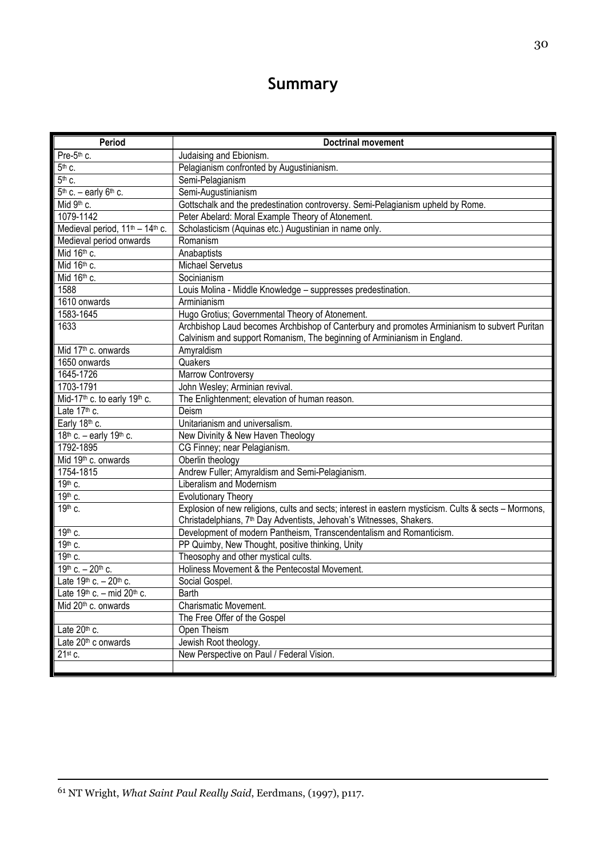# Summary

| Period                                                  | <b>Doctrinal movement</b>                                                                            |
|---------------------------------------------------------|------------------------------------------------------------------------------------------------------|
| Pre-5th c.                                              | Judaising and Ebionism.                                                                              |
| $5th$ c.                                                | Pelagianism confronted by Augustinianism.                                                            |
| 5th c.                                                  | Semi-Pelagianism                                                                                     |
| $5th$ c. – early $6th$ c.                               | Semi-Augustinianism                                                                                  |
| Mid 9th c.                                              | Gottschalk and the predestination controversy. Semi-Pelagianism upheld by Rome.                      |
| 1079-1142                                               | Peter Abelard: Moral Example Theory of Atonement.                                                    |
| Medieval period, 11 <sup>th</sup> - 14 <sup>th</sup> c. | Scholasticism (Aquinas etc.) Augustinian in name only.                                               |
| Medieval period onwards                                 | Romanism                                                                                             |
| Mid 16 <sup>th</sup> c.                                 | Anabaptists                                                                                          |
| Mid 16th c.                                             | <b>Michael Servetus</b>                                                                              |
| Mid 16th c.                                             | Socinianism                                                                                          |
| 1588                                                    | Louis Molina - Middle Knowledge - suppresses predestination.                                         |
| 1610 onwards                                            | Arminianism                                                                                          |
| 1583-1645                                               | Hugo Grotius; Governmental Theory of Atonement.                                                      |
| 1633                                                    | Archbishop Laud becomes Archbishop of Canterbury and promotes Arminianism to subvert Puritan         |
|                                                         | Calvinism and support Romanism, The beginning of Arminianism in England.                             |
| Mid 17 <sup>th</sup> c. onwards                         | Amyraldism                                                                                           |
| 1650 onwards                                            | Quakers                                                                                              |
| 1645-1726                                               | Marrow Controversy                                                                                   |
| 1703-1791                                               | John Wesley; Arminian revival.                                                                       |
| Mid-17 <sup>th</sup> c. to early 19 <sup>th</sup> c.    | The Enlightenment; elevation of human reason.                                                        |
| Late 17 <sup>th</sup> c.                                | Deism                                                                                                |
| Early 18th c.                                           | Unitarianism and universalism.                                                                       |
| 18 <sup>th</sup> c. - early 19 <sup>th</sup> c.         | New Divinity & New Haven Theology                                                                    |
| 1792-1895                                               | CG Finney; near Pelagianism.                                                                         |
| Mid 19 <sup>th</sup> c. onwards                         | Oberlin theology                                                                                     |
| 1754-1815                                               | Andrew Fuller; Amyraldism and Semi-Pelagianism.                                                      |
| 19th c.                                                 | Liberalism and Modernism                                                                             |
| 19th c.                                                 | <b>Evolutionary Theory</b>                                                                           |
| 19th c.                                                 | Explosion of new religions, cults and sects; interest in eastern mysticism. Cults & sects - Mormons, |
|                                                         | Christadelphians, 7 <sup>th</sup> Day Adventists, Jehovah's Witnesses, Shakers.                      |
| 19th c.                                                 | Development of modern Pantheism, Transcendentalism and Romanticism.                                  |
| 19th c.                                                 | PP Quimby, New Thought, positive thinking, Unity                                                     |
| 19th c.                                                 | Theosophy and other mystical cults.                                                                  |
| 19th c. - 20th c.                                       | Holiness Movement & the Pentecostal Movement.                                                        |
| Late 19th c. - 20th c.                                  | Social Gospel.                                                                                       |
| Late $19^{th}$ c. - mid $20^{th}$ c.                    | <b>Barth</b>                                                                                         |
| Mid 20 <sup>th</sup> c. onwards                         | Charismatic Movement.                                                                                |
|                                                         | The Free Offer of the Gospel                                                                         |
| Late 20th c.                                            | Open Theism                                                                                          |
| Late 20 <sup>th</sup> c onwards                         | Jewish Root theology.                                                                                |
| 21st c.                                                 | New Perspective on Paul / Federal Vision.                                                            |
|                                                         |                                                                                                      |

 $\overline{a}$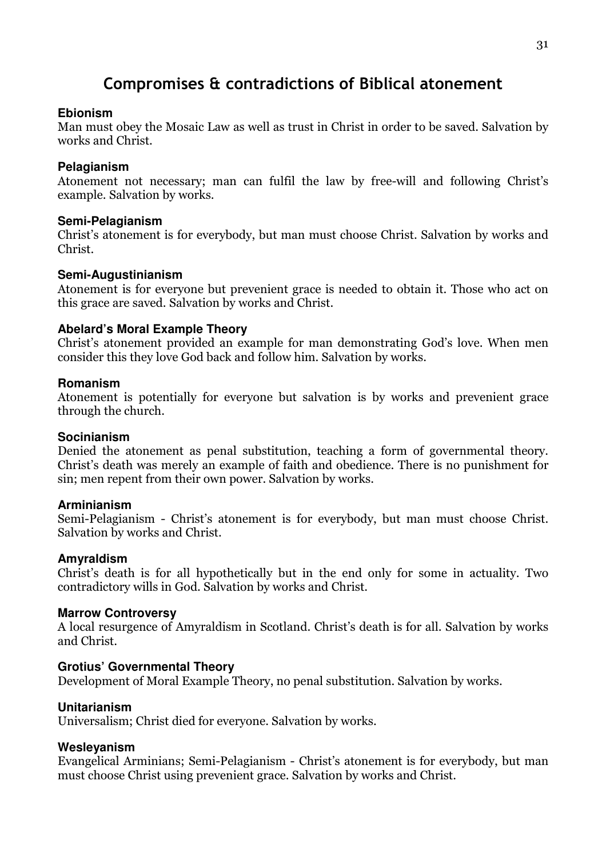# Compromises & contradictions of Biblical atonement

#### **Ebionism**

Man must obey the Mosaic Law as well as trust in Christ in order to be saved. Salvation by works and Christ.

## **Pelagianism**

Atonement not necessary; man can fulfil the law by free-will and following Christ's example. Salvation by works.

## **Semi-Pelagianism**

Christ's atonement is for everybody, but man must choose Christ. Salvation by works and Christ.

## **Semi-Augustinianism**

Atonement is for everyone but prevenient grace is needed to obtain it. Those who act on this grace are saved. Salvation by works and Christ.

## **Abelard's Moral Example Theory**

Christ's atonement provided an example for man demonstrating God's love. When men consider this they love God back and follow him. Salvation by works.

## **Romanism**

Atonement is potentially for everyone but salvation is by works and prevenient grace through the church.

## **Socinianism**

Denied the atonement as penal substitution, teaching a form of governmental theory. Christ's death was merely an example of faith and obedience. There is no punishment for sin; men repent from their own power. Salvation by works.

## **Arminianism**

Semi-Pelagianism - Christ's atonement is for everybody, but man must choose Christ. Salvation by works and Christ.

## **Amyraldism**

Christ's death is for all hypothetically but in the end only for some in actuality. Two contradictory wills in God. Salvation by works and Christ.

## **Marrow Controversy**

A local resurgence of Amyraldism in Scotland. Christ's death is for all. Salvation by works and Christ.

## **Grotius' Governmental Theory**

Development of Moral Example Theory, no penal substitution. Salvation by works.

## **Unitarianism**

Universalism; Christ died for everyone. Salvation by works.

## **Wesleyanism**

Evangelical Arminians; Semi-Pelagianism - Christ's atonement is for everybody, but man must choose Christ using prevenient grace. Salvation by works and Christ.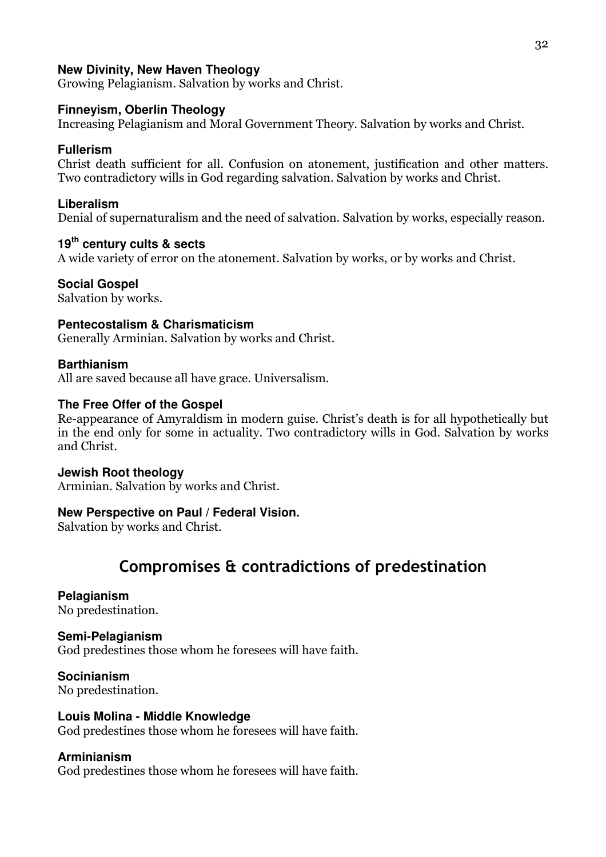## **New Divinity, New Haven Theology**

Growing Pelagianism. Salvation by works and Christ.

## **Finneyism, Oberlin Theology**

Increasing Pelagianism and Moral Government Theory. Salvation by works and Christ.

## **Fullerism**

Christ death sufficient for all. Confusion on atonement, justification and other matters. Two contradictory wills in God regarding salvation. Salvation by works and Christ.

## **Liberalism**

Denial of supernaturalism and the need of salvation. Salvation by works, especially reason.

## **19th century cults & sects**

A wide variety of error on the atonement. Salvation by works, or by works and Christ.

## **Social Gospel**

Salvation by works.

## **Pentecostalism & Charismaticism**

Generally Arminian. Salvation by works and Christ.

## **Barthianism**

All are saved because all have grace. Universalism.

## **The Free Offer of the Gospel**

Re-appearance of Amyraldism in modern guise. Christ's death is for all hypothetically but in the end only for some in actuality. Two contradictory wills in God. Salvation by works and Christ.

## **Jewish Root theology**

Arminian. Salvation by works and Christ.

## **New Perspective on Paul / Federal Vision.**

Salvation by works and Christ.

# Compromises & contradictions of predestination

## **Pelagianism**

No predestination.

## **Semi-Pelagianism**

God predestines those whom he foresees will have faith.

**Socinianism**  No predestination.

## **Louis Molina - Middle Knowledge**

God predestines those whom he foresees will have faith.

## **Arminianism**

God predestines those whom he foresees will have faith.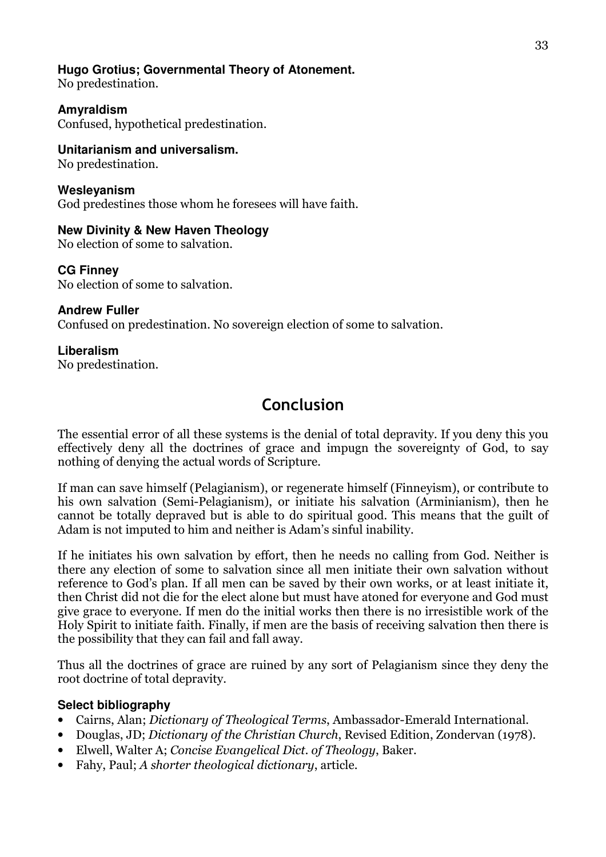## **Hugo Grotius; Governmental Theory of Atonement.**

No predestination.

## **Amyraldism**

Confused, hypothetical predestination.

## **Unitarianism and universalism.**

No predestination.

## **Wesleyanism**

God predestines those whom he foresees will have faith.

## **New Divinity & New Haven Theology**

No election of some to salvation.

## **CG Finney**

No election of some to salvation.

## **Andrew Fuller**

Confused on predestination. No sovereign election of some to salvation.

## **Liberalism**

No predestination.

# Conclusion

The essential error of all these systems is the denial of total depravity. If you deny this you effectively deny all the doctrines of grace and impugn the sovereignty of God, to say nothing of denying the actual words of Scripture.

If man can save himself (Pelagianism), or regenerate himself (Finneyism), or contribute to his own salvation (Semi-Pelagianism), or initiate his salvation (Arminianism), then he cannot be totally depraved but is able to do spiritual good. This means that the guilt of Adam is not imputed to him and neither is Adam's sinful inability.

If he initiates his own salvation by effort, then he needs no calling from God. Neither is there any election of some to salvation since all men initiate their own salvation without reference to God's plan. If all men can be saved by their own works, or at least initiate it, then Christ did not die for the elect alone but must have atoned for everyone and God must give grace to everyone. If men do the initial works then there is no irresistible work of the Holy Spirit to initiate faith. Finally, if men are the basis of receiving salvation then there is the possibility that they can fail and fall away.

Thus all the doctrines of grace are ruined by any sort of Pelagianism since they deny the root doctrine of total depravity.

## **Select bibliography**

- Cairns, Alan; Dictionary of Theological Terms, Ambassador-Emerald International.
- Douglas, JD; *Dictionary of the Christian Church*, Revised Edition, Zondervan (1978).
- Elwell, Walter A; Concise Evangelical Dict. of Theology, Baker.
- Fahy, Paul; A shorter theological dictionary, article.